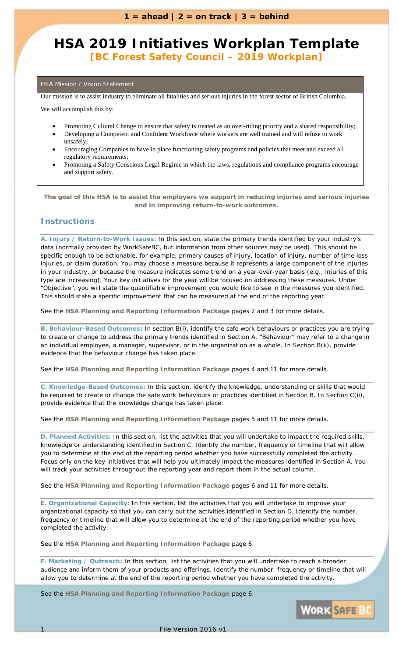### **HSA 2019 Initiatives Workplan Template** *[BC Forest Safety Council – 2019 Workplan]*

### HSA Mission / Vision Statement

Our mission is to assist industry to eliminate all fatalities and serious injuries in the forest sector of British Columbia.

We will accomplish this by:

- Promoting Cultural Change to ensure that safety is treated as an over-riding priority and a shared responsibility;
- Developing a Competent and Confident Workforce where workers are well trained and will refuse to work unsafely;
- Encouraging Companies to have in place functioning safety programs and policies that meet and exceed all regulatory requirements;
- Promoting a Safety Conscious Legal Regime in which the laws, regulations and compliance programs encourage and support safety.

*The goal of this HSA is to assist the employers we support in reducing injuries and serious injuries and in improving return-to-work outcomes.*

### **Instructions**

**A. Injury / Return-to-Work Issues:** In this section, state the primary trends identified by your industry's data (normally provided by WorkSafeBC, but information from other sources may be used). This should be specific enough to be actionable, for example, primary causes of injury, location of injury, number of time loss injuries, or claim duration. You may choose a measure because it represents a large component of the injuries in your industry, or because the measure indicates some trend on a year-over-year basis (e.g., injuries of this type are increasing). Your key initiatives for the year will be focused on addressing these measures. Under "Objective", you will state the quantifiable improvement you would like to see in the measures you identified. This should state a specific improvement that can be measured at the end of the reporting year.

See the **HSA Planning and Reporting Information Package** pages 2 and 3 for more details.

**B. Behaviour-Based Outcomes:** In section B(i), identify the safe work behaviours or practices you are trying to create or change to address the primary trends identified in Section A. "Behaviour" may refer to a change in an individual employee, a manager, supervisor, or in the organization as a whole. In Section B(ii), provide evidence that the behaviour change has taken place.

See the **HSA Planning and Reporting Information Package** pages 4 and 11 for more details.

**C. Knowledge-Based Outcomes:** In this section, identify the knowledge, understanding or skills that would be required to create or change the safe work behaviours or practices identified in Section B. In Section C(ii), provide evidence that the knowledge change has taken place.

See the **HSA Planning and Reporting Information Package** pages 5 and 11 for more details.

**D. Planned Activities:** In this section, list the activities that you will undertake to impact the required skills, knowledge or understanding identified in Section C. Identify the number, frequency or timeline that will allow you to determine at the end of the reporting period whether you have successfully completed the activity. Focus only on the key initiatives that will help you ultimately impact the measures identified in Section A. You will track your activities throughout the reporting year and report them in the actual column.

See the **HSA Planning and Reporting Information Package** pages 6 and 11 for more details.

**E. Organizational Capacity:** In this section, list the activities that you will undertake to improve your organizational capacity so that you can carry out the activities identified in Section D. Identify the number, frequency or timeline that will allow you to determine at the end of the reporting period whether you have completed the activity.

See the **HSA Planning and Reporting Information Package** page 6.

**F. Marketing / Outreach:** In this section, list the activities that you will undertake to reach a broader audience and inform them of your products and offerings. Identify the number, frequency or timeline that will allow you to determine at the end of the reporting period whether you have completed the activity.

See the **HSA Planning and Reporting Information Package** page 6.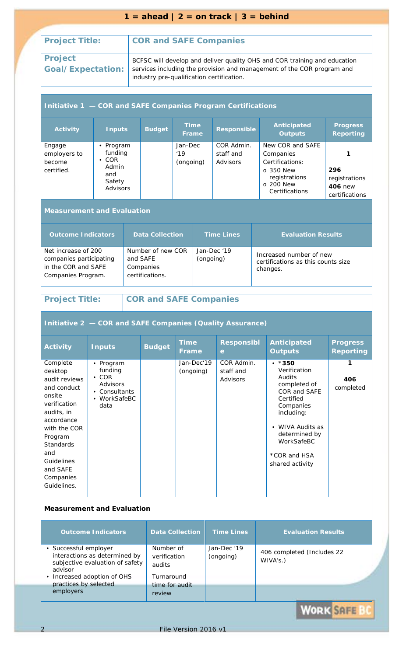### $1 = \text{ahead} \mid 2 = \text{on track} \mid 3 = \text{behind}$

### **Project Title: COR and SAFE Companies**

**Project** 

**Goal/Expectation:** BCFSC will develop and deliver quality OHS and COR training and education services including the provision and management of the COR program and industry pre-qualification certification.

#### **Initiative 1 — COR and SAFE Companies Program Certifications Activity Inputs Budget Time Frame Responsible Anticipated Outputs Progress Reporting**  Engage employers to become certified. • Program funding • COR Admin and Safety Advisors Jan-Dec '19 (ongoing) COR Admin. staff and Advisors New COR and SAFE Companies Certifications: o 350 New registrations o 200 New **Certifications 1 296**  registrations **406** new certifications

### **Measurement and Evaluation**

| <b>Outcome Indicators</b>                                                                   | <b>Data Collection</b>                                        | <b>Time Lines</b>        | <b>Evaluation Results</b>                                                 |
|---------------------------------------------------------------------------------------------|---------------------------------------------------------------|--------------------------|---------------------------------------------------------------------------|
| Net increase of 200<br>companies participating<br>in the COR and SAFE<br>Companies Program. | Number of new COR<br>and SAFE<br>Companies<br>certifications. | Jan-Dec '19<br>(ongoing) | Increased number of new<br>certifications as this counts size<br>changes. |

### **Project Title: COR and SAFE Companies**

### **Initiative 2 — COR and SAFE Companies (Quality Assurance)**

| <b>Activity</b>                                                                                                                                                                                                              | <b>Inputs</b>                                                                          | <b>Budget</b> | <b>Time</b><br>Frame    | <b>Responsibl</b><br>$\mathbf e$    | <b>Anticipated</b><br><b>Outputs</b>                                                                                                                                                                                   | <b>Progress</b><br><b>Reporting</b> |
|------------------------------------------------------------------------------------------------------------------------------------------------------------------------------------------------------------------------------|----------------------------------------------------------------------------------------|---------------|-------------------------|-------------------------------------|------------------------------------------------------------------------------------------------------------------------------------------------------------------------------------------------------------------------|-------------------------------------|
| Complete<br>desktop<br>audit reviews<br>and conduct<br>onsite<br>verification<br>audits, in<br>accordance<br>with the COR<br>Program<br><b>Standards</b><br>and<br><b>Guidelines</b><br>and SAFE<br>Companies<br>Guidelines. | • Program<br>funding<br>$\cdot$ COR<br>Advisors<br>Consultants<br>• WorkSafeBC<br>data |               | Jan-Dec'19<br>(ongoing) | COR Admin.<br>staff and<br>Advisors | $\cdot$ *350<br>Verification<br><b>Audits</b><br>completed of<br>COR and SAFE<br>Certified<br>Companies<br>including:<br>WIVA Audits as<br>$\bullet$<br>determined by<br>WorkSafeBC<br>*COR and HSA<br>shared activity | 406<br>completed                    |

### **Measurement and Evaluation**

| <b>Outcome Indicators</b>                                                                                                           | <b>Data Collection</b>                            | <b>Time Lines</b>        | <b>Evaluation Results</b>              |  |
|-------------------------------------------------------------------------------------------------------------------------------------|---------------------------------------------------|--------------------------|----------------------------------------|--|
| · Successful employer<br>interactions as determined by<br>subjective evaluation of safety<br>advisor<br>• Increased adoption of OHS | Number of<br>verification<br>audits<br>Turnaround | Jan-Dec '19<br>(ongoing) | 406 completed (Includes 22<br>WIVA's.) |  |
| practices by selected<br>employers                                                                                                  | time for audit<br>review                          |                          |                                        |  |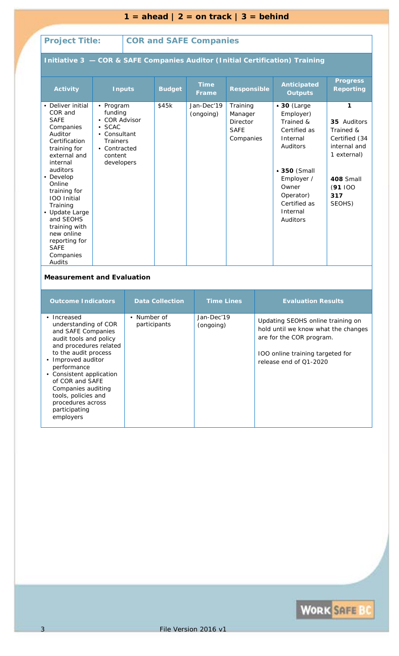| $1 =$ ahead $2 =$ on track $3 =$ behind                                                                                                                                                                                                                                                                                                    |                                                                                                                                     |  |                         |                         |                                                                                                                                                                    |  |                                                                                                                                                                           |                                                                                                                        |
|--------------------------------------------------------------------------------------------------------------------------------------------------------------------------------------------------------------------------------------------------------------------------------------------------------------------------------------------|-------------------------------------------------------------------------------------------------------------------------------------|--|-------------------------|-------------------------|--------------------------------------------------------------------------------------------------------------------------------------------------------------------|--|---------------------------------------------------------------------------------------------------------------------------------------------------------------------------|------------------------------------------------------------------------------------------------------------------------|
| <b>Project Title:</b><br><b>COR and SAFE Companies</b>                                                                                                                                                                                                                                                                                     |                                                                                                                                     |  |                         |                         |                                                                                                                                                                    |  |                                                                                                                                                                           |                                                                                                                        |
|                                                                                                                                                                                                                                                                                                                                            |                                                                                                                                     |  |                         |                         |                                                                                                                                                                    |  | Initiative 3 - COR & SAFE Companies Auditor (Initial Certification) Training                                                                                              |                                                                                                                        |
| <b>Activity</b>                                                                                                                                                                                                                                                                                                                            | <b>Inputs</b>                                                                                                                       |  | <b>Budget</b>           | <b>Time</b><br>Frame    | <b>Responsible</b>                                                                                                                                                 |  | Anticipated<br><b>Outputs</b>                                                                                                                                             | <b>Progress</b><br><b>Reporting</b>                                                                                    |
| • Deliver initial<br>COR and<br><b>SAFE</b><br>Companies<br>Auditor<br>Certification<br>training for<br>external and<br>internal<br>auditors<br>• Develop<br>Online<br>training for<br><b>IOO</b> Initial<br>Training<br>• Update Large<br>and SEOHS<br>training with<br>new online<br>reporting for<br><b>SAFE</b><br>Companies<br>Audits | • Program<br>funding<br>• COR Advisor<br>$\bullet$ SCAC<br>• Consultant<br><b>Trainers</b><br>• Contracted<br>content<br>developers |  | \$45k                   | Jan-Dec'19<br>(ongoing) | Training<br>Manager<br>Director<br><b>SAFE</b><br>Companies                                                                                                        |  | • 30 (Large<br>Employer)<br>Trained &<br>Certified as<br>Internal<br>Auditors<br>■ 350 (Small<br>Employer /<br>Owner<br>Operator)<br>Certified as<br>Internal<br>Auditors | 1<br>35 Auditors<br>Trained &<br>Certified (34<br>internal and<br>1 external)<br>408 Small<br>(91100)<br>317<br>SEOHS) |
| <b>Measurement and Evaluation</b>                                                                                                                                                                                                                                                                                                          |                                                                                                                                     |  |                         |                         |                                                                                                                                                                    |  |                                                                                                                                                                           |                                                                                                                        |
|                                                                                                                                                                                                                                                                                                                                            | <b>Outcome Indicators</b>                                                                                                           |  | <b>Data Collection</b>  | <b>Time Lines</b>       |                                                                                                                                                                    |  | <b>Evaluation Results</b>                                                                                                                                                 |                                                                                                                        |
| • Number of<br>• Increased<br>understanding of COR<br>participants<br>and SAFE Companies<br>audit tools and policy<br>and procedures related<br>to the audit process<br>• Improved auditor<br>performance<br>• Consistent application<br>of COR and SAFE                                                                                   |                                                                                                                                     |  | Jan-Dec'19<br>(ongoing) |                         | Updating SEOHS online training on<br>hold until we know what the changes<br>are for the COR program.<br>IOO online training targeted for<br>release end of Q1-2020 |  |                                                                                                                                                                           |                                                                                                                        |

# WORK SAFE BC

Companies auditing tools, policies and procedures across participating employers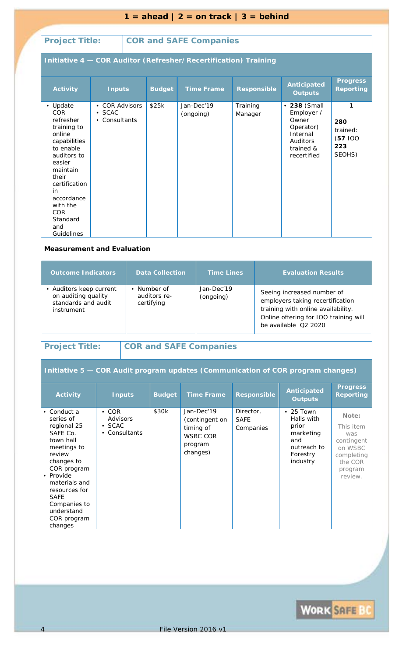|                                                                                                                                                                                                                                                                       |                                                    |                                                                     |               |           | $1 =$ ahead $2 =$ on track $3 =$ behind                                             |                                       |                                                                                                                                                                       |                                                                                                      |                                                                                                   |
|-----------------------------------------------------------------------------------------------------------------------------------------------------------------------------------------------------------------------------------------------------------------------|----------------------------------------------------|---------------------------------------------------------------------|---------------|-----------|-------------------------------------------------------------------------------------|---------------------------------------|-----------------------------------------------------------------------------------------------------------------------------------------------------------------------|------------------------------------------------------------------------------------------------------|---------------------------------------------------------------------------------------------------|
| <b>Project Title:</b><br><b>COR and SAFE Companies</b>                                                                                                                                                                                                                |                                                    |                                                                     |               |           |                                                                                     |                                       |                                                                                                                                                                       |                                                                                                      |                                                                                                   |
| Initiative 4 - COR Auditor (Refresher/Recertification) Training                                                                                                                                                                                                       |                                                    |                                                                     |               |           |                                                                                     |                                       |                                                                                                                                                                       |                                                                                                      |                                                                                                   |
| <b>Activity</b>                                                                                                                                                                                                                                                       | <b>Inputs</b>                                      |                                                                     | <b>Budget</b> |           | <b>Time Frame</b>                                                                   |                                       | <b>Responsible</b>                                                                                                                                                    | <b>Anticipated</b><br><b>Outputs</b>                                                                 | <b>Progress</b><br><b>Reporting</b>                                                               |
| • Update<br>COR<br>refresher<br>training to<br>online<br>capabilities<br>to enable<br>auditors to<br>easier<br>maintain<br>their<br>certification<br>in<br>accordance<br>with the<br><b>COR</b><br>Standard<br>and<br>Guidelines<br><b>Measurement and Evaluation</b> | • COR Advisors<br>$\bullet$ SCAC<br>• Consultants  |                                                                     | \$25k         | (ongoing) | Jan-Dec'19                                                                          | Training<br>Manager                   |                                                                                                                                                                       | • 238 (Small<br>Employer /<br>Owner<br>Operator)<br>Internal<br>Auditors<br>trained &<br>recertified | 1<br>280<br>trained:<br>(57100)<br>223<br>SEOHS)                                                  |
| <b>Outcome Indicators</b>                                                                                                                                                                                                                                             |                                                    |                                                                     |               |           | <b>Time Lines</b>                                                                   |                                       |                                                                                                                                                                       | <b>Evaluation Results</b>                                                                            |                                                                                                   |
| • Auditors keep current<br>on auditing quality<br>standards and audit<br>instrument                                                                                                                                                                                   |                                                    | <b>Data Collection</b><br>• Number of<br>auditors re-<br>certifying |               |           | Jan-Dec'19<br>(ongoing)                                                             |                                       | Seeing increased number of<br>employers taking recertification<br>training with online availability.<br>Online offering for IOO training will<br>be available Q2 2020 |                                                                                                      |                                                                                                   |
| <b>Project Title:</b>                                                                                                                                                                                                                                                 |                                                    |                                                                     |               |           | <b>COR and SAFE Companies</b>                                                       |                                       |                                                                                                                                                                       |                                                                                                      |                                                                                                   |
|                                                                                                                                                                                                                                                                       |                                                    |                                                                     |               |           |                                                                                     |                                       |                                                                                                                                                                       | Initiative 5 - COR Audit program updates (Communication of COR program changes)                      |                                                                                                   |
| <b>Activity</b>                                                                                                                                                                                                                                                       |                                                    | <b>Inputs</b>                                                       | <b>Budget</b> |           | <b>Time Frame</b>                                                                   |                                       | <b>Responsible</b>                                                                                                                                                    | <b>Anticipated</b><br><b>Outputs</b>                                                                 | <b>Progress</b><br><b>Reporting</b>                                                               |
| • Conduct a<br>series of<br>regional 25<br>SAFE Co.<br>town hall<br>meetings to<br>review<br>changes to<br>COR program<br>• Provide<br>materials and<br>resources for<br><b>SAFE</b><br>Companies to<br>understand<br>COR program<br>changes                          | $\cdot$ COR<br>Advisors<br>· SCAC<br>• Consultants |                                                                     | \$30k         |           | Jan-Dec'19<br>(contingent on<br>timing of<br><b>WSBC COR</b><br>program<br>changes) | Director,<br><b>SAFE</b><br>Companies |                                                                                                                                                                       | $\cdot$ 25 Town<br>Halls with<br>prior<br>marketing<br>and<br>outreach to<br>Forestry<br>industry    | Note:<br>This item<br>was<br>contingent<br>on WSBC<br>completing<br>the COR<br>program<br>review. |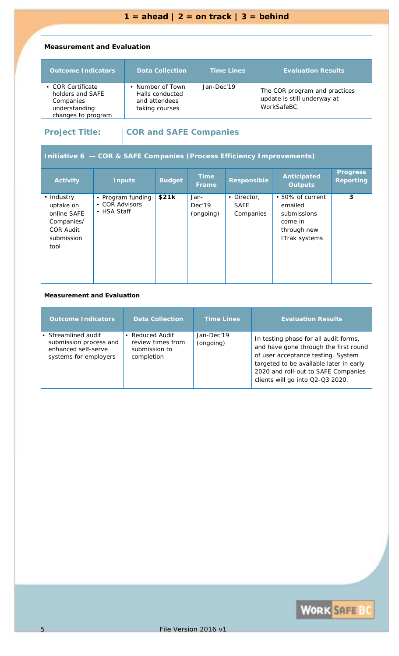### **Measurement and Evaluation**

| <b>Outcome Indicators</b>                                                                 | <b>Data Collection</b>                                                 | <b>Time Lines</b> | <b>Evaluation Results</b>                                                   |
|-------------------------------------------------------------------------------------------|------------------------------------------------------------------------|-------------------|-----------------------------------------------------------------------------|
| • COR Certificate<br>holders and SAFE<br>Companies<br>understanding<br>changes to program | • Number of Town<br>Halls conducted<br>and attendees<br>taking courses | Jan-Dec'19        | The COR program and practices<br>update is still underway at<br>WorkSafeBC. |

### **Project Title: COR and SAFE Companies**

### **Initiative 6 — COR & SAFE Companies (Process Efficiency Improvements)**

| <b>Activity</b>                                                                                | <b>Inputs</b>                                      | <b>Budget</b> | <b>Time</b><br><b>Frame</b> | <b>Responsible</b>                      | Anticipated<br><b>Outputs</b>                                                         | <b>Progress</b><br><b>Reporting</b> |  |  |
|------------------------------------------------------------------------------------------------|----------------------------------------------------|---------------|-----------------------------|-----------------------------------------|---------------------------------------------------------------------------------------|-------------------------------------|--|--|
| • Industry<br>uptake on<br>online SAFE<br>Companies/<br><b>COR Audit</b><br>submission<br>tool | • Program funding<br>• COR Advisors<br>• HSA Staff | \$21k         | Jan-<br>Dec'19<br>(ongoing) | • Director,<br><b>SAFE</b><br>Companies | • 50% of current<br>emailed<br>submissions<br>come in<br>through new<br>ITrak systems | 3                                   |  |  |
|                                                                                                | <b>Measurement and Evaluation</b>                  |               |                             |                                         |                                                                                       |                                     |  |  |

| <b>Outcome Indicators</b>                                                                     | <b>Data Collection</b>                                            | <b>Time Lines</b>       | <b>Evaluation Results</b>                                                                                                                                                                                                                  |
|-----------------------------------------------------------------------------------------------|-------------------------------------------------------------------|-------------------------|--------------------------------------------------------------------------------------------------------------------------------------------------------------------------------------------------------------------------------------------|
| • Streamlined audit<br>submission process and<br>enhanced self-serve<br>systems for employers | Reduced Audit<br>review times from<br>submission to<br>completion | Jan-Dec'19<br>(ongoing) | In testing phase for all audit forms,<br>and have gone through the first round<br>of user acceptance testing. System<br>targeted to be available later in early<br>2020 and roll-out to SAFE Companies<br>clients will go into Q2-Q3 2020. |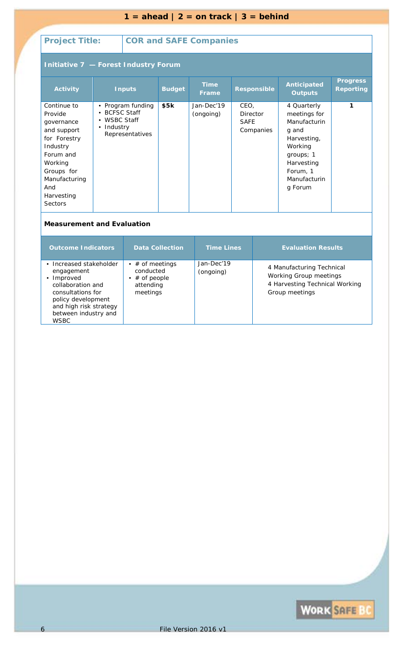|                                                                                                                                                                               | $1 =$ ahead $2 =$ on track $3 =$ behind |                                                                                 |               |                               |                                              |                                                                                                                                                  |                                     |  |
|-------------------------------------------------------------------------------------------------------------------------------------------------------------------------------|-----------------------------------------|---------------------------------------------------------------------------------|---------------|-------------------------------|----------------------------------------------|--------------------------------------------------------------------------------------------------------------------------------------------------|-------------------------------------|--|
|                                                                                                                                                                               |                                         |                                                                                 |               |                               |                                              |                                                                                                                                                  |                                     |  |
| <b>Project Title:</b>                                                                                                                                                         |                                         |                                                                                 |               | <b>COR and SAFE Companies</b> |                                              |                                                                                                                                                  |                                     |  |
| Initiative 7 - Forest Industry Forum                                                                                                                                          |                                         |                                                                                 |               |                               |                                              |                                                                                                                                                  |                                     |  |
| <b>Activity</b>                                                                                                                                                               |                                         | <b>Inputs</b>                                                                   | <b>Budget</b> | <b>Time</b><br><b>Frame</b>   | <b>Responsible</b>                           | <b>Anticipated</b><br><b>Outputs</b>                                                                                                             | <b>Progress</b><br><b>Reporting</b> |  |
| Continue to<br>Provide<br>governance<br>and support<br>for Forestry<br>Industry<br>Forum and<br>Working<br>Groups for<br>Manufacturing<br>And<br>Harvesting<br><b>Sectors</b> | $\bullet$<br>Industry<br>$\bullet$      | • Program funding<br><b>BCFSC Staff</b><br><b>WSBC Staff</b><br>Representatives | \$5k          | Jan-Dec'19<br>(ongoing)       | CEO,<br>Director<br><b>SAFE</b><br>Companies | 4 Quarterly<br>meetings for<br>Manufacturin<br>q and<br>Harvesting,<br>Working<br>groups; 1<br>Harvesting<br>Forum, 1<br>Manufacturin<br>g Forum | 1                                   |  |
| <b>Measurement and Evaluation</b>                                                                                                                                             |                                         |                                                                                 |               |                               |                                              |                                                                                                                                                  |                                     |  |

| <b>Outcome Indicators</b>                                                                                                                                                            | <b>Data Collection</b>                                                     | <b>Time Lines</b>       | <b>Evaluation Results</b>                                                                               |
|--------------------------------------------------------------------------------------------------------------------------------------------------------------------------------------|----------------------------------------------------------------------------|-------------------------|---------------------------------------------------------------------------------------------------------|
| • Increased stakeholder<br>engagement<br>• Improved<br>collaboration and<br>consultations for<br>policy development<br>and high risk strategy<br>between industry and<br><b>WSBC</b> | • $#$ of meetings<br>conducted<br>• $#$ of people<br>attending<br>meetings | Jan-Dec'19<br>(ongoing) | 4 Manufacturing Technical<br>Working Group meetings<br>4 Harvesting Technical Working<br>Group meetings |

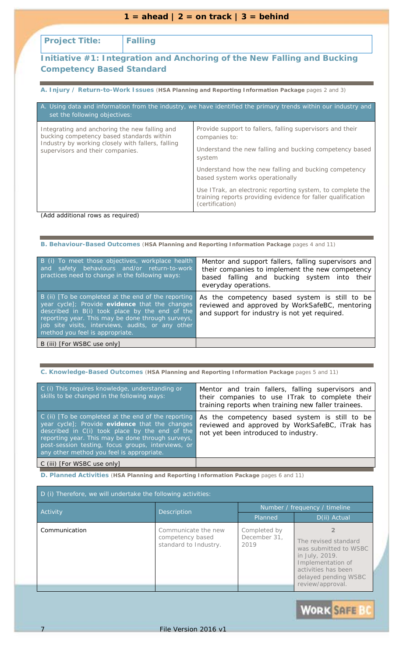| $1 =$ ahead $2 =$ on track $3 =$ behind                                                    |                |                                                                                                                                               |  |  |  |  |  |
|--------------------------------------------------------------------------------------------|----------------|-----------------------------------------------------------------------------------------------------------------------------------------------|--|--|--|--|--|
|                                                                                            |                |                                                                                                                                               |  |  |  |  |  |
| <b>Project Title:</b>                                                                      | <b>Falling</b> |                                                                                                                                               |  |  |  |  |  |
|                                                                                            |                | Initiative #1: Integration and Anchoring of the New Falling and Bucking                                                                       |  |  |  |  |  |
| <b>Competency Based Standard</b>                                                           |                |                                                                                                                                               |  |  |  |  |  |
|                                                                                            |                |                                                                                                                                               |  |  |  |  |  |
|                                                                                            |                | A. Injury / Return-to-Work Issues (HSA Planning and Reporting Information Package pages 2 and 3)                                              |  |  |  |  |  |
| set the following objectives:                                                              |                | A. Using data and information from the industry, we have identified the primary trends within our industry and                                |  |  |  |  |  |
| Integrating and anchoring the new falling and<br>bucking competency based standards within |                | Provide support to fallers, falling supervisors and their<br>companies to:                                                                    |  |  |  |  |  |
| Industry by working closely with fallers, falling<br>supervisors and their companies.      |                | Understand the new falling and bucking competency based<br>system                                                                             |  |  |  |  |  |
|                                                                                            |                | Understand how the new falling and bucking competency<br>based system works operationally                                                     |  |  |  |  |  |
|                                                                                            |                | Use ITrak, an electronic reporting system, to complete the<br>training reports providing evidence for faller qualification<br>(certification) |  |  |  |  |  |

*(Add additional rows as required)*

**B. Behaviour-Based Outcomes** (**HSA Planning and Reporting Information Package** pages 4 and 11)

| B (i) To meet those objectives, workplace health<br>and safety behaviours and/or return-to-work<br>practices need to change in the following ways:                                                                                                                                                   | Mentor and support fallers, falling supervisors and<br>their companies to implement the new competency<br>based falling and bucking system into their<br>everyday operations. |
|------------------------------------------------------------------------------------------------------------------------------------------------------------------------------------------------------------------------------------------------------------------------------------------------------|-------------------------------------------------------------------------------------------------------------------------------------------------------------------------------|
| B (ii) [To be completed at the end of the reporting<br>year cycle]; Provide evidence that the changes<br>described in B(i) took place by the end of the<br>reporting year. This may be done through surveys,<br>job site visits, interviews, audits, or any other<br>method you feel is appropriate. | As the competency based system is still to be<br>reviewed and approved by WorkSafeBC, mentoring<br>and support for industry is not yet required.                              |
| B (iii) [For WSBC use only]                                                                                                                                                                                                                                                                          |                                                                                                                                                                               |

**C. Knowledge-Based Outcomes** (**HSA Planning and Reporting Information Package** pages 5 and 11)

| C (i) This requires knowledge, understanding or<br>skills to be changed in the following ways:                                                                                                                                                                                                                      | Mentor and train fallers, falling supervisors and<br>their companies to use ITrak to complete their<br>training reports when training new faller trainees. |
|---------------------------------------------------------------------------------------------------------------------------------------------------------------------------------------------------------------------------------------------------------------------------------------------------------------------|------------------------------------------------------------------------------------------------------------------------------------------------------------|
| $C$ (ii) $T$ o be completed at the end of the reporting<br>year cycle]; Provide evidence that the changes<br>described in C(i) took place by the end of the<br>reporting year. This may be done through surveys,<br>post-session testing, focus groups, interviews, or<br>any other method you feel is appropriate. | As the competency based system is still to be<br>reviewed and approved by WorkSafeBC, iTrak has<br>not yet been introduced to industry.                    |
| C (iii) [For WSBC use only]                                                                                                                                                                                                                                                                                         |                                                                                                                                                            |

| D (i) Therefore, we will undertake the following activities: |                                                                  |                                      |                                                                                                                                                         |  |
|--------------------------------------------------------------|------------------------------------------------------------------|--------------------------------------|---------------------------------------------------------------------------------------------------------------------------------------------------------|--|
| Activity                                                     | Description                                                      | Number / frequency / timeline        |                                                                                                                                                         |  |
|                                                              |                                                                  | Planned                              | D(ii) Actual                                                                                                                                            |  |
| Communication                                                | Communicate the new<br>competency based<br>standard to Industry. | Completed by<br>December 31,<br>2019 | The revised standard<br>was submitted to WSBC<br>in July, 2019.<br>Implementation of<br>activities has been<br>delayed pending WSBC<br>review/approval. |  |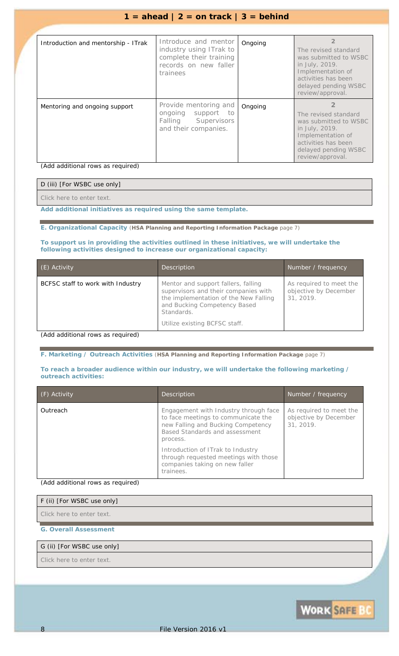| Introduction and mentorship - ITrak | Introduce and mentor<br>industry using ITrak to<br>complete their training<br>records on new faller<br>trainees | Ongoing | The revised standard<br>was submitted to WSBC<br>in July, 2019.<br>Implementation of<br>activities has been<br>delayed pending WSBC<br>review/approval. |
|-------------------------------------|-----------------------------------------------------------------------------------------------------------------|---------|---------------------------------------------------------------------------------------------------------------------------------------------------------|
| Mentoring and ongoing support       | Provide mentoring and<br>ongoing support to<br><b>Falling</b> Supervisors<br>and their companies.               | Ongoing | The revised standard<br>was submitted to WSBC<br>in July, 2019.<br>Implementation of<br>activities has been<br>delayed pending WSBC<br>review/approval. |

*(Add additional rows as required)*

| D (iii) [For WSBC use only] |  |
|-----------------------------|--|
| Click here to enter text.   |  |

*Add additional initiatives as required using the same template.*

**E. Organizational Capacity** (**HSA Planning and Reporting Information Package** page 7)

### **To support us in providing the activities outlined in these initiatives, we will undertake the following activities designed to increase our organizational capacity:**

| (E) Activity                       | <b>Description</b>                                                                                                                                                                                  | Number / frequency                                            |
|------------------------------------|-----------------------------------------------------------------------------------------------------------------------------------------------------------------------------------------------------|---------------------------------------------------------------|
| BCFSC staff to work with Industry  | Mentor and support fallers, falling<br>supervisors and their companies with<br>the implementation of the New Falling<br>and Bucking Competency Based<br>Standards.<br>Utilize existing BCFSC staff. | As required to meet the<br>objective by December<br>31, 2019. |
| (Add additional route as required) |                                                                                                                                                                                                     |                                                               |

*(Add additional rows as required)*

**F. Marketing / Outreach Activities** (**HSA Planning and Reporting Information Package** page 7)

#### **To reach a broader audience within our industry, we will undertake the following marketing / outreach activities:**

| (F) Activity | Description                                                                                                                                                             | Number / frequency                                            |
|--------------|-------------------------------------------------------------------------------------------------------------------------------------------------------------------------|---------------------------------------------------------------|
| Outreach     | Engagement with Industry through face<br>to face meetings to communicate the<br>new Falling and Bucking Competency<br><b>Based Standards and assessment</b><br>process. | As required to meet the<br>objective by December<br>31, 2019. |
|              | Introduction of ITrak to Industry<br>through requested meetings with those<br>companies taking on new faller<br>trainees.                                               |                                                               |

*(Add additional rows as required)*

### F (ii) [For WSBC use only]

*Click here to enter text.*

### **G. Overall Assessment**

### G (ii) [For WSBC use only]

*Click here to enter text.*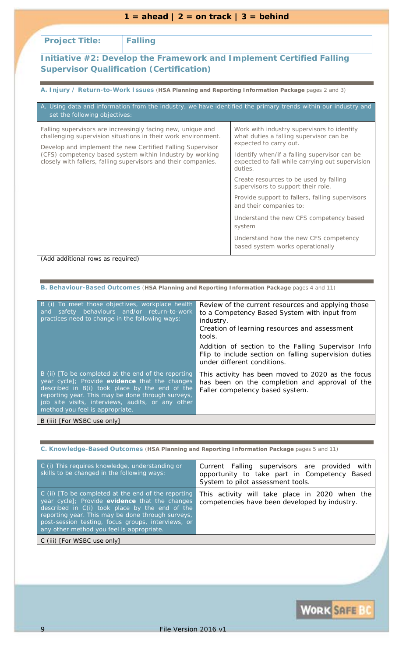| $1 =$ ahead $2 =$ on track $3 =$ behind                                                                                                                                                  |                                                                                                                              |                                                                                                                 |  |
|------------------------------------------------------------------------------------------------------------------------------------------------------------------------------------------|------------------------------------------------------------------------------------------------------------------------------|-----------------------------------------------------------------------------------------------------------------|--|
|                                                                                                                                                                                          |                                                                                                                              |                                                                                                                 |  |
| <b>Project Title:</b>                                                                                                                                                                    | <b>Falling</b>                                                                                                               |                                                                                                                 |  |
|                                                                                                                                                                                          | <b>Supervisor Qualification (Certification)</b>                                                                              | Initiative #2: Develop the Framework and Implement Certified Falling                                            |  |
|                                                                                                                                                                                          |                                                                                                                              | A. Injury / Return-to-Work Issues (HSA Planning and Reporting Information Package pages 2 and 3)                |  |
| set the following objectives:                                                                                                                                                            |                                                                                                                              | A. Using data and information from the industry, we have identified the primary trends within our industry and  |  |
|                                                                                                                                                                                          | Falling supervisors are increasingly facing new, unique and<br>challenging supervision situations in their work environment. | Work with industry supervisors to identify<br>what duties a falling supervisor can be<br>expected to carry out. |  |
| Develop and implement the new Certified Falling Supervisor<br>(CFS) competency based system within Industry by working<br>closely with fallers, falling supervisors and their companies. |                                                                                                                              | Identify when/if a falling supervisor can be<br>expected to fall while carrying out supervision<br>duties.      |  |
|                                                                                                                                                                                          |                                                                                                                              | Create resources to be used by falling<br>supervisors to support their role.                                    |  |
|                                                                                                                                                                                          |                                                                                                                              | Provide support to fallers, falling supervisors<br>and their companies to:                                      |  |
|                                                                                                                                                                                          |                                                                                                                              | Understand the new CFS competency based<br>system                                                               |  |
|                                                                                                                                                                                          |                                                                                                                              | Understand how the new CFS competency<br>based system works operationally                                       |  |

**B. Behaviour-Based Outcomes** (**HSA Planning and Reporting Information Package** pages 4 and 11)

| B (i) To meet those objectives, workplace health<br>and safety behaviours and/or return-to-work<br>practices need to change in the following ways:                                                                                                                                                   | Review of the current resources and applying those<br>to a Competency Based System with input from<br><i>industry.</i><br>Creation of learning resources and assessment<br>tools.<br>Addition of section to the Falling Supervisor Info<br>Flip to include section on falling supervision duties<br>under different conditions. |
|------------------------------------------------------------------------------------------------------------------------------------------------------------------------------------------------------------------------------------------------------------------------------------------------------|---------------------------------------------------------------------------------------------------------------------------------------------------------------------------------------------------------------------------------------------------------------------------------------------------------------------------------|
| B (ii) [To be completed at the end of the reporting<br>year cycle]; Provide evidence that the changes<br>described in B(i) took place by the end of the<br>reporting year. This may be done through surveys,<br>job site visits, interviews, audits, or any other<br>method you feel is appropriate. | This activity has been moved to 2020 as the focus<br>has been on the completion and approval of the<br>Faller competency based system.                                                                                                                                                                                          |
| B (iii) [For WSBC use only]                                                                                                                                                                                                                                                                          |                                                                                                                                                                                                                                                                                                                                 |

**C. Knowledge-Based Outcomes** (**HSA Planning and Reporting Information Package** pages 5 and 11)

| C (i) This requires knowledge, understanding or<br>skills to be changed in the following ways:                                                                                                                                                                                                                  | with<br>Current Falling supervisors are provided<br>opportunity to take part in Competency Based<br>System to pilot assessment tools. |
|-----------------------------------------------------------------------------------------------------------------------------------------------------------------------------------------------------------------------------------------------------------------------------------------------------------------|---------------------------------------------------------------------------------------------------------------------------------------|
| C (ii) [To be completed at the end of the reporting<br>year cycle]; Provide evidence that the changes<br>described in C(i) took place by the end of the<br>reporting year. This may be done through surveys,<br>post-session testing, focus groups, interviews, or<br>any other method you feel is appropriate. | This activity will take place in 2020 when the<br>competencies have been developed by industry.                                       |
| C (iii) [ <i>For WSBC use only</i> ]                                                                                                                                                                                                                                                                            |                                                                                                                                       |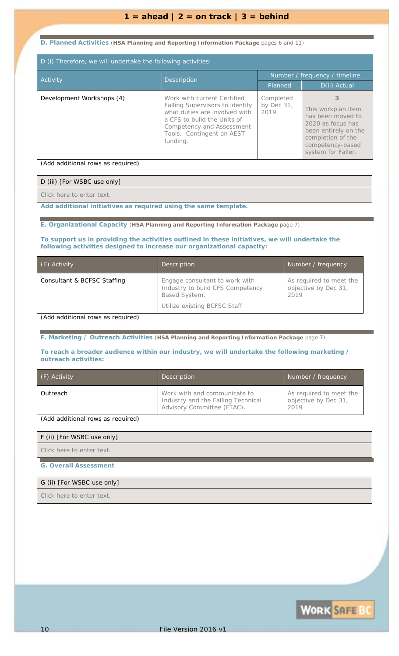### **D. Planned Activities** (**HSA Planning and Reporting Information Package** pages 6 and 11)

| D (i) Therefore, we will undertake the following activities: |                                                                                                                                                                                                                    |                                     |                                                                                                                                                          |
|--------------------------------------------------------------|--------------------------------------------------------------------------------------------------------------------------------------------------------------------------------------------------------------------|-------------------------------------|----------------------------------------------------------------------------------------------------------------------------------------------------------|
| <b>Activity</b>                                              | <b>Description</b>                                                                                                                                                                                                 | Number / frequency / timeline       |                                                                                                                                                          |
|                                                              |                                                                                                                                                                                                                    | Planned                             | D(ii) Actual                                                                                                                                             |
| Development Workshops (4)                                    | Work with current Certified<br><b>Falling Supervisors to identify</b><br>what duties are involved with<br>a CFS to build the Units of<br><b>Competency and Assessment</b><br>Tools. Contingent on AEST<br>funding. | Completed<br>by Dec $31$ ,<br>2019. | з<br>This workplan item<br>has been moved to<br>2020 as focus has<br>been entirely on the<br>completion of the<br>competency-based<br>system for Faller. |

*(Add additional rows as required)*

| D (iii) [For WSBC use only] |  |
|-----------------------------|--|
| Click here to enter text.   |  |

*Add additional initiatives as required using the same template.*

**E. Organizational Capacity** (**HSA Planning and Reporting Information Package** page 7)

### **To support us in providing the activities outlined in these initiatives, we will undertake the following activities designed to increase our organizational capacity:**

| Engage consultant to work with<br>As required to meet the<br>Consultant & BCFSC Staffing<br>Industry to build CFS Competency<br>objective by Dec 31,<br><b>Based System.</b><br>2019<br>Utilize existing BCFSC Staff | (E) Activity | Description | Number / frequency |
|----------------------------------------------------------------------------------------------------------------------------------------------------------------------------------------------------------------------|--------------|-------------|--------------------|
|                                                                                                                                                                                                                      |              |             |                    |

*(Add additional rows as required)*

**F. Marketing / Outreach Activities** (**HSA Planning and Reporting Information Package** page 7)

#### **To reach a broader audience within our industry, we will undertake the following marketing / outreach activities:**

| (F) Activity | <b>Description</b>                                                                               | Number / frequency                                      |
|--------------|--------------------------------------------------------------------------------------------------|---------------------------------------------------------|
| Outreach     | Work with and communicate to<br>Industry and the Falling Technical<br>Advisory Committee (FTAC). | As required to meet the<br>objective by Dec 31,<br>2019 |

*(Add additional rows as required)*

#### F (ii) [For WSBC use only]

*Click here to enter text.*

#### **G. Overall Assessment**

#### G (ii) [For WSBC use only]

*Click here to enter text.*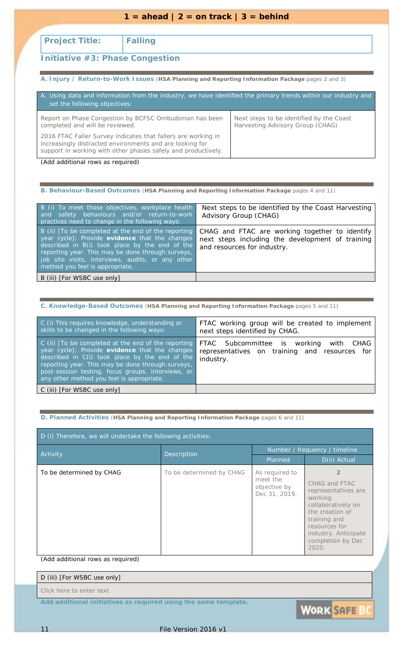| $1 = \text{ahead}$   2 = on track   3 = behind |  |
|------------------------------------------------|--|
|                                                |  |

### **Project Title: Falling**

### **Initiative #3: Phase Congestion**

**A. Injury / Return-to-Work Issues** (**HSA Planning and Reporting Information Package** pages 2 and 3)

| A. Using data and information from the industry, we have identified the primary trends within our industry and<br>set the following objectives:                                            |                                                                              |
|--------------------------------------------------------------------------------------------------------------------------------------------------------------------------------------------|------------------------------------------------------------------------------|
| Report on Phase Congestion by BCFSC Ombudsman has been<br>completed and will be reviewed.                                                                                                  | Next steps to be identified by the Coast<br>Harvesting Advisory Group (CHAG) |
| 2016 FTAC Faller Survey indicates that fallers are working in<br>increasingly distracted environments and are looking for<br>support in working with other phases safely and productively. |                                                                              |
| (Add additional rows as required)                                                                                                                                                          |                                                                              |

**B. Behaviour-Based Outcomes** (**HSA Planning and Reporting Information Package** pages 4 and 11)

| B (i) To meet those objectives, workplace health<br>and safety behaviours and/or return-to-work<br>practices need to change in the following ways:                                                                                                                                                   | Next steps to be identified by the Coast Harvesting<br>Advisory Group (CHAG)                                                      |
|------------------------------------------------------------------------------------------------------------------------------------------------------------------------------------------------------------------------------------------------------------------------------------------------------|-----------------------------------------------------------------------------------------------------------------------------------|
| B (ii) [To be completed at the end of the reporting<br>year cycle]; Provide evidence that the changes<br>described in B(i) took place by the end of the<br>reporting year. This may be done through surveys,<br>job site visits, interviews, audits, or any other<br>method you feel is appropriate. | CHAG and FTAC are working together to identify<br>next steps including the development of training<br>and resources for industry. |
| B (iii) [For WSBC use only]                                                                                                                                                                                                                                                                          |                                                                                                                                   |
|                                                                                                                                                                                                                                                                                                      |                                                                                                                                   |

|  |  |  |  |  |  | C. Knowledge-Based Outcomes (HSA Planning and Reporting Information Package pages 5 and 11) |
|--|--|--|--|--|--|---------------------------------------------------------------------------------------------|
|--|--|--|--|--|--|---------------------------------------------------------------------------------------------|

| C (i) This requires knowledge, understanding or<br>skills to be changed in the following ways:                                                                                                                                                                                                                  | FTAC working group will be created to implement<br>next steps identified by CHAG.                       |
|-----------------------------------------------------------------------------------------------------------------------------------------------------------------------------------------------------------------------------------------------------------------------------------------------------------------|---------------------------------------------------------------------------------------------------------|
| C (ii) [To be completed at the end of the reporting<br>year cycle]; Provide evidence that the changes<br>described in C(i) took place by the end of the<br>reporting year. This may be done through surveys,<br>post-session testing, focus groups, interviews, or<br>any other method you feel is appropriate. | FTAC Subcommittee is working<br>with CHAG<br>representatives on training and resources for<br>industry. |
| C (iii) [For WSBC use only]                                                                                                                                                                                                                                                                                     |                                                                                                         |

### **D. Planned Activities** (**HSA Planning and Reporting Information Package** pages 6 and 11)

| D (i) Therefore, we will undertake the following activities: |                          |                                                             |                                                                                                                                                                                 |
|--------------------------------------------------------------|--------------------------|-------------------------------------------------------------|---------------------------------------------------------------------------------------------------------------------------------------------------------------------------------|
| <b>Activity</b>                                              | Description              | Number / frequency / timeline                               |                                                                                                                                                                                 |
|                                                              |                          | Planned                                                     | D(ii) Actual                                                                                                                                                                    |
| To be determined by CHAG                                     | To be determined by CHAG | As required to<br>meet the<br>objective by<br>Dec 31, 2019. | CHAG and FTAC<br>representatives are<br>working<br>collaboratively on<br>the creation of<br>training and<br>resources for<br>industry. Anticipate<br>completion by Dec<br>2020. |

*(Add additional rows as required)*

| D (iii) [For WSBC use only]                                     |  |
|-----------------------------------------------------------------|--|
| Click here to enter text.                                       |  |
| Add additional initiatives as required using the same template. |  |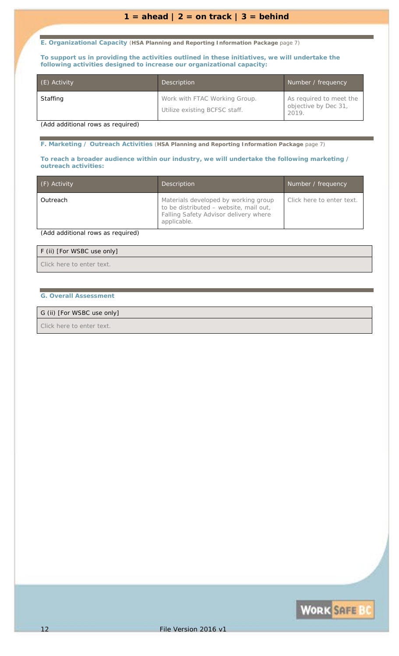**E. Organizational Capacity** (**HSA Planning and Reporting Information Package** page 7)

**To support us in providing the activities outlined in these initiatives, we will undertake the following activities designed to increase our organizational capacity:**

| (E) Activity | Description                                                    | Number / frequency                                       |
|--------------|----------------------------------------------------------------|----------------------------------------------------------|
| Staffing     | Work with FTAC Working Group.<br>Utilize existing BCFSC staff. | As required to meet the<br>objective by Dec 31,<br>2019. |

*(Add additional rows as required)*

**F. Marketing / Outreach Activities** (**HSA Planning and Reporting Information Package** page 7)

#### **To reach a broader audience within our industry, we will undertake the following marketing / outreach activities:**

| (F) Activity | <b>Description</b>                                                                                                                     | Number / frequency        |
|--------------|----------------------------------------------------------------------------------------------------------------------------------------|---------------------------|
| Outreach     | Materials developed by working group<br>to be distributed - website, mail out,<br>Falling Safety Advisor delivery where<br>applicable. | Click here to enter text. |

*(Add additional rows as required)*

#### F (ii) [For WSBC use only]

*Click here to enter text.*

### **G. Overall Assessment**

### G (ii) [For WSBC use only]

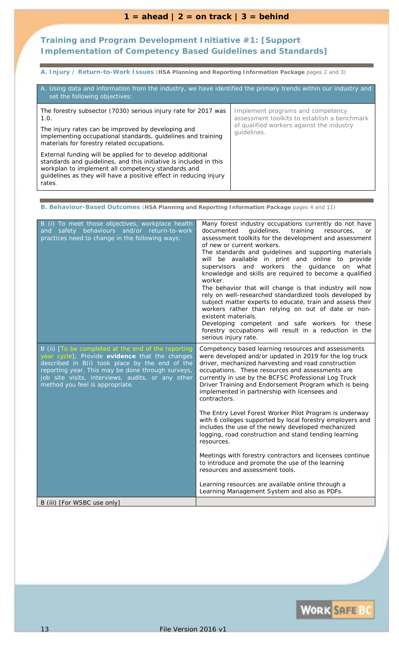### **Training and Program Development Initiative #1:** *[Support Implementation of Competency Based Guidelines and Standards]*

**A. Injury / Return-to-Work Issues** (**HSA Planning and Reporting Information Package** pages 2 and 3)

| A. Using data and information from the industry, we have identified the primary trends within our industry and<br>set the following objectives:                                                                                                                      |                                                                                   |  |
|----------------------------------------------------------------------------------------------------------------------------------------------------------------------------------------------------------------------------------------------------------------------|-----------------------------------------------------------------------------------|--|
| The forestry subsector (7030) serious injury rate for 2017 was<br>1.0.                                                                                                                                                                                               | Implement programs and competency<br>assessment toolkits to establish a benchmark |  |
| The injury rates can be improved by developing and<br>implementing occupational standards, guidelines and training<br>materials for forestry related occupations.                                                                                                    | of qualified workers against the industry<br>quidelines.                          |  |
| External funding will be applied for to develop additional<br>standards and guidelines, and this initiative is included in this<br>workplan to implement all competency standards and<br>guidelines as they will have a positive effect in reducing injury<br>rates. |                                                                                   |  |

**B. Behaviour-Based Outcomes** (**HSA Planning and Reporting Information Package** pages 4 and 11)

| B (i) To meet those objectives, workplace health<br>and safety behaviours and/or return-to-work<br>practices need to change in the following ways:                                                                                                                                                   | Many forest industry occupations currently do not have<br>quidelines,<br>training<br>documented<br>resources,<br>or<br>assessment toolkits for the development and assessment<br>of new or current workers.<br>The standards and guidelines and supporting materials<br>will be available in print and online to provide<br>supervisors and workers<br>the guidance on what<br>knowledge and skills are required to become a qualified<br>worker.<br>The behavior that will change is that industry will now<br>rely on well-researched standardized tools developed by<br>subject matter experts to educate, train and assess their<br>workers rather than relying on out of date or non-<br>existent materials.<br>Developing competent and safe workers for these<br>forestry occupations will result in a reduction in the<br>serious injury rate. |
|------------------------------------------------------------------------------------------------------------------------------------------------------------------------------------------------------------------------------------------------------------------------------------------------------|--------------------------------------------------------------------------------------------------------------------------------------------------------------------------------------------------------------------------------------------------------------------------------------------------------------------------------------------------------------------------------------------------------------------------------------------------------------------------------------------------------------------------------------------------------------------------------------------------------------------------------------------------------------------------------------------------------------------------------------------------------------------------------------------------------------------------------------------------------|
| B (ii) [To be completed at the end of the reporting<br>year cycle]; Provide evidence that the changes<br>described in B(i) took place by the end of the<br>reporting year. This may be done through surveys,<br>job site visits, interviews, audits, or any other<br>method you feel is appropriate. | Competency based learning resources and assessments<br>were developed and/or updated in 2019 for the log truck<br>driver, mechanized harvesting and road construction<br>occupations. These resources and assessments are<br>currently in use by the BCFSC Professional Log Truck<br>Driver Training and Endorsement Program which is being<br>implemented in partnership with licensees and<br>contractors.                                                                                                                                                                                                                                                                                                                                                                                                                                           |
|                                                                                                                                                                                                                                                                                                      | The Entry Level Forest Worker Pilot Program is underway<br>with 6 colleges supported by local forestry employers and<br>includes the use of the newly developed mechanized<br>logging, road construction and stand tending learning<br>resources.                                                                                                                                                                                                                                                                                                                                                                                                                                                                                                                                                                                                      |
|                                                                                                                                                                                                                                                                                                      | Meetings with forestry contractors and licensees continue<br>to introduce and promote the use of the learning<br>resources and assessment tools.                                                                                                                                                                                                                                                                                                                                                                                                                                                                                                                                                                                                                                                                                                       |
|                                                                                                                                                                                                                                                                                                      | Learning resources are available online through a<br>Learning Management System and also as PDFs.                                                                                                                                                                                                                                                                                                                                                                                                                                                                                                                                                                                                                                                                                                                                                      |
| B (iii) [For WSBC use only]                                                                                                                                                                                                                                                                          |                                                                                                                                                                                                                                                                                                                                                                                                                                                                                                                                                                                                                                                                                                                                                                                                                                                        |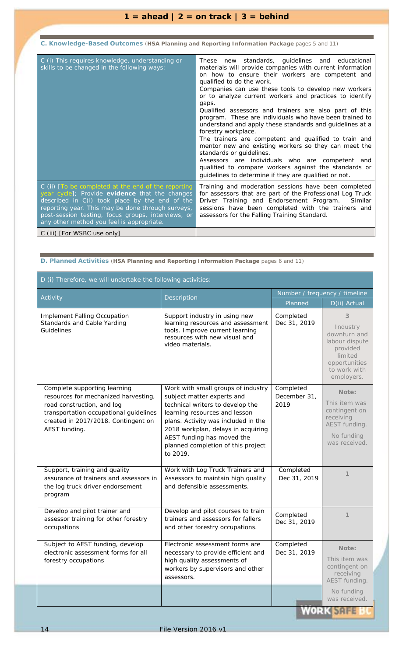**C. Knowledge-Based Outcomes** (**HSA Planning and Reporting Information Package** pages 5 and 11)

| C (i) This requires knowledge, understanding or<br>skills to be changed in the following ways:                                                                                                                                                                                                                  | These new standards, quidelines and educational<br>materials will provide companies with current information<br>on how to ensure their workers are competent and<br>qualified to do the work.<br>Companies can use these tools to develop new workers<br>or to analyze current workers and practices to identify<br>gaps.<br>Qualified assessors and trainers are also part of this<br>program. These are individuals who have been trained to<br>understand and apply these standards and guidelines at a<br>forestry workplace.<br>The trainers are competent and qualified to train and<br>mentor new and existing workers so they can meet the<br>standards or quidelines.<br>Assessors are individuals who are competent and<br>qualified to compare workers against the standards or<br>guidelines to determine if they are qualified or not. |
|-----------------------------------------------------------------------------------------------------------------------------------------------------------------------------------------------------------------------------------------------------------------------------------------------------------------|-----------------------------------------------------------------------------------------------------------------------------------------------------------------------------------------------------------------------------------------------------------------------------------------------------------------------------------------------------------------------------------------------------------------------------------------------------------------------------------------------------------------------------------------------------------------------------------------------------------------------------------------------------------------------------------------------------------------------------------------------------------------------------------------------------------------------------------------------------|
| C (ii) [To be completed at the end of the reporting<br>year cycle]; Provide evidence that the changes<br>described in C(i) took place by the end of the<br>reporting year. This may be done through surveys,<br>post-session testing, focus groups, interviews, or<br>any other method you feel is appropriate. | Training and moderation sessions have been completed<br>for assessors that are part of the Professional Log Truck<br>Driver Training and Endorsement Program.<br>Similar<br>sessions have been completed with the trainers and<br>assessors for the Falling Training Standard.                                                                                                                                                                                                                                                                                                                                                                                                                                                                                                                                                                      |
| C (iii) [For WSBC use only]                                                                                                                                                                                                                                                                                     |                                                                                                                                                                                                                                                                                                                                                                                                                                                                                                                                                                                                                                                                                                                                                                                                                                                     |

| D (i) Therefore, we will undertake the following activities:                                                                                                                                         |                                                                                                                                                                                                                                                                                                    |                                   |                                                                                                                       |
|------------------------------------------------------------------------------------------------------------------------------------------------------------------------------------------------------|----------------------------------------------------------------------------------------------------------------------------------------------------------------------------------------------------------------------------------------------------------------------------------------------------|-----------------------------------|-----------------------------------------------------------------------------------------------------------------------|
| Activity<br><b>Description</b>                                                                                                                                                                       | Number / frequency / timeline                                                                                                                                                                                                                                                                      |                                   |                                                                                                                       |
|                                                                                                                                                                                                      |                                                                                                                                                                                                                                                                                                    |                                   | D(ii) Actual                                                                                                          |
| <b>Implement Falling Occupation</b><br>Standards and Cable Yarding<br>Guidelines                                                                                                                     | Support industry in using new<br>learning resources and assessment<br>tools. Improve current learning<br>resources with new visual and<br>video materials.                                                                                                                                         | Completed<br>Dec 31, 2019         | 3<br>Industry<br>downturn and<br>labour dispute<br>provided<br>limited<br>opportunities<br>to work with<br>employers. |
| Complete supporting learning<br>resources for mechanized harvesting,<br>road construction, and log<br>transportation occupational guidelines<br>created in 2017/2018. Contingent on<br>AEST funding. | Work with small groups of industry<br>subject matter experts and<br>technical writers to develop the<br>learning resources and lesson<br>plans. Activity was included in the<br>2018 workplan, delays in acquiring<br>AEST funding has moved the<br>planned completion of this project<br>to 2019. | Completed<br>December 31,<br>2019 | Note:<br>This item was<br>contingent on<br>receiving<br>AEST funding.<br>No funding<br>was received.                  |
| Support, training and quality<br>assurance of trainers and assessors in<br>the log truck driver endorsement<br>program                                                                               | Work with Log Truck Trainers and<br>Assessors to maintain high quality<br>and defensible assessments.                                                                                                                                                                                              | Completed<br>Dec 31, 2019         | $\mathcal I$                                                                                                          |
| Develop and pilot trainer and<br>assessor training for other forestry<br>occupations                                                                                                                 | Develop and pilot courses to train<br>trainers and assessors for fallers<br>and other forestry occupations.                                                                                                                                                                                        | Completed<br>Dec 31, 2019         | $\mathcal I$                                                                                                          |
| Subject to AEST funding, develop<br>electronic assessment forms for all<br>forestry occupations                                                                                                      | Electronic assessment forms are<br>necessary to provide efficient and<br>high quality assessments of<br>workers by supervisors and other<br>assessors.                                                                                                                                             | Completed<br>Dec 31, 2019         | Note:<br>This item was<br>contingent on<br>receiving<br>AEST funding.<br>No funding<br>was received.                  |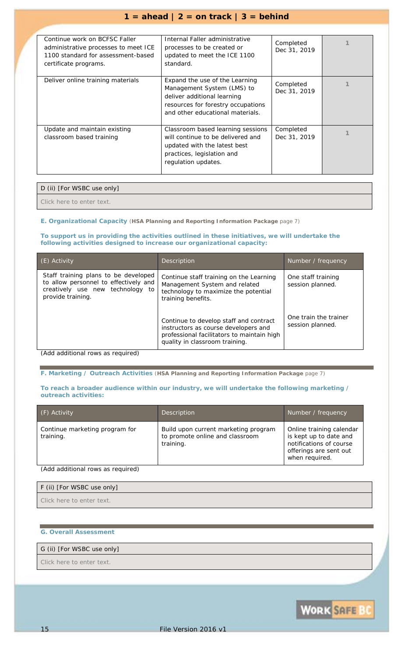| Continue work on BCFSC Faller<br>administrative processes to meet ICE<br>1100 standard for assessment-based<br>certificate programs. | Internal Faller administrative<br>processes to be created or<br>updated to meet the ICE 1100<br>standard.                                                             | Completed<br>Dec 31, 2019 |  |
|--------------------------------------------------------------------------------------------------------------------------------------|-----------------------------------------------------------------------------------------------------------------------------------------------------------------------|---------------------------|--|
| Deliver online training materials                                                                                                    | Expand the use of the Learning<br>Management System (LMS) to<br>deliver additional learning<br>resources for forestry occupations<br>and other educational materials. | Completed<br>Dec 31, 2019 |  |
| Update and maintain existing<br>classroom based training                                                                             | Classroom based learning sessions<br>will continue to be delivered and<br>updated with the latest best<br>practices, legislation and<br>regulation updates.           | Completed<br>Dec 31, 2019 |  |

### D (ii) [For WSBC use only]

*Click here to enter text.*

### **E. Organizational Capacity** (**HSA Planning and Reporting Information Package** page 7)

#### **To support us in providing the activities outlined in these initiatives, we will undertake the following activities designed to increase our organizational capacity:**

| (E) Activity                                                                                                                           | <b>Description</b>                                                                                                                                             | Number / frequency                        |
|----------------------------------------------------------------------------------------------------------------------------------------|----------------------------------------------------------------------------------------------------------------------------------------------------------------|-------------------------------------------|
| Staff training plans to be developed<br>to allow personnel to effectively and<br>creatively use new technology to<br>provide training. | Continue staff training on the Learning<br>Management System and related<br>technology to maximize the potential<br>training benefits.                         | One staff training<br>session planned.    |
|                                                                                                                                        | Continue to develop staff and contract<br>instructors as course developers and<br>professional facilitators to maintain high<br>quality in classroom training. | One train the trainer<br>session planned. |

*(Add additional rows as required)*

**F. Marketing / Outreach Activities** (**HSA Planning and Reporting Information Package** page 7)

#### **To reach a broader audience within our industry, we will undertake the following marketing / outreach activities:**

| (F) Activity                                                                                                                                                                                                                                                                         | Description                                                                          | Number / frequency                                                                                                        |
|--------------------------------------------------------------------------------------------------------------------------------------------------------------------------------------------------------------------------------------------------------------------------------------|--------------------------------------------------------------------------------------|---------------------------------------------------------------------------------------------------------------------------|
| Continue marketing program for<br>training.                                                                                                                                                                                                                                          | Build upon current marketing program<br>to promote online and classroom<br>training. | Online training calendar<br>is kept up to date and<br>notifications of course<br>offerings are sent out<br>when required. |
| $\{A_1, A_2, A_3, A_4, A_5, A_6, A_7, A_8, A_9, A_1, A_2, A_1, A_2, A_1, A_2, A_1, A_2, A_3, A_1, A_2, A_2, A_3, A_4, A_4, A_5, A_6, A_7, A_7, A_8, A_9, A_1, A_2, A_3, A_1, A_2, A_3, A_4, A_5, A_6, A_7, A_7, A_8, A_1, A_2, A_3, A_4, A_1, A_2, A_3, A_4, A_5, A_6, A_7, A_7, A_$ |                                                                                      |                                                                                                                           |

*(Add additional rows as required)*

| F (ii) [For WSBC use only] |
|----------------------------|
| Click here to enter text.  |

#### **G. Overall Assessment**

### G (ii) [For WSBC use only]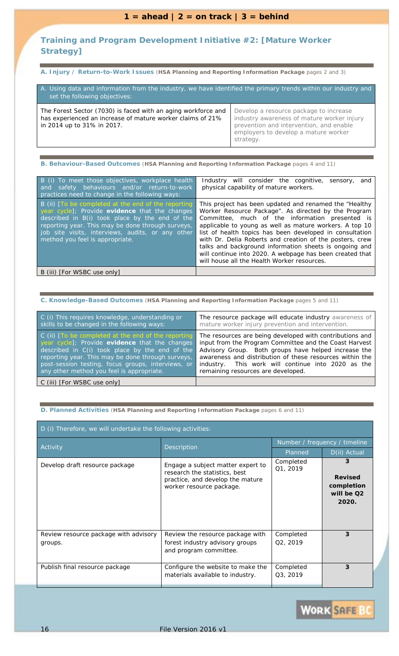### $1 = \text{ahead} \mid 2 = \text{on track} \mid 3 = \text{behind}$

### **Training and Program Development Initiative #2:** *[Mature Worker Strategy]*

**A. Injury / Return-to-Work Issues** (**HSA Planning and Reporting Information Package** pages 2 and 3)

| A. Using data and information from the industry, we have identified the primary trends within our industry and<br>set the following objectives:           |                                                                                                                                                                                      |  |
|-----------------------------------------------------------------------------------------------------------------------------------------------------------|--------------------------------------------------------------------------------------------------------------------------------------------------------------------------------------|--|
| The Forest Sector (7030) is faced with an aging workforce and<br>has experienced an increase of mature worker claims of 21%<br>in 2014 up to 31% in 2017. | Develop a resource package to increase<br>industry awareness of mature worker injury<br>prevention and intervention, and enable<br>employers to develop a mature worker<br>strategy. |  |

**B. Behaviour-Based Outcomes** (**HSA Planning and Reporting Information Package** pages 4 and 11)

| B (i) To meet those objectives, workplace health<br>and safety behaviours and/or return-to-work<br>practices need to change in the following ways:                                                                                                                                                   | Industry will consider the cognitive,<br>sensory,<br>and<br>physical capability of mature workers.                                                                                                                                                                                                                                                                                                                                                                                                                        |
|------------------------------------------------------------------------------------------------------------------------------------------------------------------------------------------------------------------------------------------------------------------------------------------------------|---------------------------------------------------------------------------------------------------------------------------------------------------------------------------------------------------------------------------------------------------------------------------------------------------------------------------------------------------------------------------------------------------------------------------------------------------------------------------------------------------------------------------|
| B (ii) [To be completed at the end of the reporting<br>year cycle]; Provide evidence that the changes<br>described in B(i) took place by the end of the<br>reporting year. This may be done through surveys,<br>job site visits, interviews, audits, or any other<br>method you feel is appropriate. | This project has been updated and renamed the "Healthy<br>Worker Resource Package". As directed by the Program<br>Committee, much of the information presented is<br>applicable to young as well as mature workers. A top 10<br>list of health topics has been developed in consultation<br>with Dr. Delia Roberts and creation of the posters, crew<br>talks and background information sheets is ongoing and<br>will continue into 2020. A webpage has been created that<br>will house all the Health Worker resources. |
| B (iii) [For WSBC use only]                                                                                                                                                                                                                                                                          |                                                                                                                                                                                                                                                                                                                                                                                                                                                                                                                           |

**C. Knowledge-Based Outcomes** (**HSA Planning and Reporting Information Package** pages 5 and 11)

| C (i) This requires knowledge, understanding or         | The resource package will educate industry awareness of  |
|---------------------------------------------------------|----------------------------------------------------------|
| skills to be changed in the following ways:             | mature worker injury prevention and intervention.        |
| $C$ (ii) $T$ o be completed at the end of the reporting | The resources are being developed with contributions and |
| year cycle]; Provide evidence that the changes          | input from the Program Committee and the Coast Harvest   |
| described in C(i) took place by the end of the          | Advisory Group. Both groups have helped increase the     |
| reporting year. This may be done through surveys,       | awareness and distribution of these resources within the |
| post-session testing, focus groups, interviews, or      | industry. This work will continue into 2020 as the       |
| any other method you feel is appropriate.               | remaining resources are developed.                       |
| C (iii) [For WSBC use only]                             |                                                          |

| D (i) Therefore, we will undertake the following activities: |                                                                                                                                    |                                    |                                                          |
|--------------------------------------------------------------|------------------------------------------------------------------------------------------------------------------------------------|------------------------------------|----------------------------------------------------------|
| Activity                                                     |                                                                                                                                    | Number / frequency / timeline      |                                                          |
|                                                              | Description                                                                                                                        | Planned                            | D(ii) Actual                                             |
| Develop draft resource package                               | Engage a subject matter expert to<br>research the statistics, best<br>practice, and develop the mature<br>worker resource package. | Completed<br>Q1, 2019              | 3<br><b>Revised</b><br>completion<br>will be Q2<br>2020. |
| Review resource package with advisory<br>groups.             | Review the resource package with<br>forest industry advisory groups<br>and program committee.                                      | Completed<br>Q <sub>2</sub> , 2019 | 3                                                        |
| Publish final resource package                               | Configure the website to make the<br>materials available to industry.                                                              | Completed<br>Q3, 2019              | 3                                                        |

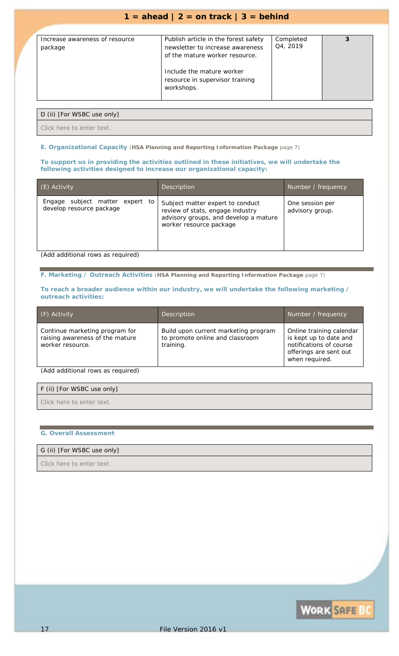| Increase awareness of resource<br>package | Publish article in the forest safety<br>newsletter to increase awareness<br>of the mature worker resource.<br>Include the mature worker<br>resource in supervisor training<br>workshops. | Completed<br>Q4, 2019 |  |
|-------------------------------------------|------------------------------------------------------------------------------------------------------------------------------------------------------------------------------------------|-----------------------|--|

### D (ii) [For WSBC use only]

*Click here to enter text.*

### **E. Organizational Capacity** (**HSA Planning and Reporting Information Package** page 7)

**To support us in providing the activities outlined in these initiatives, we will undertake the following activities designed to increase our organizational capacity:**

| (E) Activity                                                | <b>Description</b>                                                                                                                       | Number / frequency                 |
|-------------------------------------------------------------|------------------------------------------------------------------------------------------------------------------------------------------|------------------------------------|
| Engage subject matter expert to<br>develop resource package | Subject matter expert to conduct<br>review of stats, engage industry<br>advisory groups, and develop a mature<br>worker resource package | One session per<br>advisory group. |
| (Add additional rows as required)                           |                                                                                                                                          |                                    |

**F. Marketing / Outreach Activities** (**HSA Planning and Reporting Information Package** page 7)

#### **To reach a broader audience within our industry, we will undertake the following marketing / outreach activities:**

| (F) Activity                                                                          | <b>Description</b>                                                                   | Number / frequency                                                                                                        |
|---------------------------------------------------------------------------------------|--------------------------------------------------------------------------------------|---------------------------------------------------------------------------------------------------------------------------|
| Continue marketing program for<br>raising awareness of the mature<br>worker resource. | Build upon current marketing program<br>to promote online and classroom<br>training. | Online training calendar<br>is kept up to date and<br>notifications of course<br>offerings are sent out<br>when required. |

*(Add additional rows as required)*

| F (ii) [For WSBC use only] |  |
|----------------------------|--|
| Click here to enter text.  |  |

### **G. Overall Assessment**

### G (ii) [For WSBC use only]

*Click here to enter text.*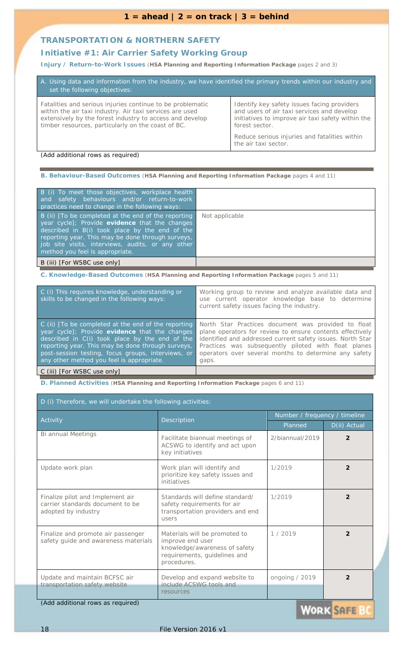### **TRANSPORTATION & NORTHERN SAFETY**

### **Initiative #1:** *Air Carrier Safety Working Group*

**Injury / Return-to-Work Issues** (**HSA Planning and Reporting Information Package** pages 2 and 3)

| A. Using data and information from the industry, we have identified the primary trends within our industry and<br>set the following objectives:                                                                                          |                                                                                                                                                                  |  |
|------------------------------------------------------------------------------------------------------------------------------------------------------------------------------------------------------------------------------------------|------------------------------------------------------------------------------------------------------------------------------------------------------------------|--|
| Fatalities and serious injuries continue to be problematic<br>within the air taxi industry. Air taxi services are used<br>extensively by the forest industry to access and develop<br>timber resources, particularly on the coast of BC. | Identify key safety issues facing providers<br>and users of air taxi services and develop<br>initiatives to improve air taxi safety within the<br>forest sector. |  |
| Reduce serious injuries and fatalities within<br>the air taxi sector.                                                                                                                                                                    |                                                                                                                                                                  |  |

*(Add additional rows as required)*

**B. Behaviour-Based Outcomes** (**HSA Planning and Reporting Information Package** pages 4 and 11)

| B (i) To meet those objectives, workplace health<br>and safety behaviours and/or return-to-work<br>practices need to change in the following ways:                                                                                                                                                   |                |
|------------------------------------------------------------------------------------------------------------------------------------------------------------------------------------------------------------------------------------------------------------------------------------------------------|----------------|
| B (ii) [To be completed at the end of the reporting<br>year cycle]; Provide evidence that the changes<br>described in B(i) took place by the end of the<br>reporting year. This may be done through surveys,<br>job site visits, interviews, audits, or any other<br>method you feel is appropriate. | Not applicable |
| B (iii) [For WSBC use only]                                                                                                                                                                                                                                                                          |                |

**C. Knowledge-Based Outcomes** (**HSA Planning and Reporting Information Package** pages 5 and 11)

| C (i) This requires knowledge, understanding or<br>skills to be changed in the following ways:                                                                                                                                                                                                                  | Working group to review and analyze available data and<br>use current operator knowledge base to determine<br>current safety issues facing the industry.                                                                                                                                                 |
|-----------------------------------------------------------------------------------------------------------------------------------------------------------------------------------------------------------------------------------------------------------------------------------------------------------------|----------------------------------------------------------------------------------------------------------------------------------------------------------------------------------------------------------------------------------------------------------------------------------------------------------|
| C (ii) [To be completed at the end of the reporting<br>year cycle]; Provide evidence that the changes<br>described in C(i) took place by the end of the<br>reporting year. This may be done through surveys,<br>post-session testing, focus groups, interviews, or<br>any other method you feel is appropriate. | North Star Practices document was provided to float<br>plane operators for review to ensure contents effectively<br>identified and addressed current safety issues. North Star<br>Practices was subsequently piloted with float planes<br>operators over several months to determine any safety<br>gaps. |
| C (iii) [For WSBC use only]                                                                                                                                                                                                                                                                                     |                                                                                                                                                                                                                                                                                                          |

| D (i) Therefore, we will undertake the following activities:                                |                                                                                                                                   |                 |                               |  |
|---------------------------------------------------------------------------------------------|-----------------------------------------------------------------------------------------------------------------------------------|-----------------|-------------------------------|--|
| Activity                                                                                    | Description                                                                                                                       |                 | Number / frequency / timeline |  |
|                                                                                             |                                                                                                                                   | Planned         | D(ii) Actual                  |  |
| Bi annual Meetings                                                                          | Facilitate biannual meetings of<br>ACSWG to identify and act upon<br>key initiatives                                              | 2/biannual/2019 | $\overline{2}$                |  |
| Update work plan                                                                            | Work plan will identify and<br>prioritize key safety issues and<br>initiatives                                                    | 1/2019          | $\overline{2}$                |  |
| Finalize pilot and Implement air<br>carrier standards document to be<br>adopted by industry | Standards will define standard/<br>safety requirements for air<br>transportation providers and end<br>users                       | 1/2019          | $\overline{2}$                |  |
| Finalize and promote air passenger<br>safety guide and awareness materials                  | Materials will be promoted to<br>improve end user<br>knowledge/awareness of safety<br>requirements, guidelines and<br>procedures. | 1/2019          | $\overline{2}$                |  |
| Update and maintain BCFSC air<br>transportation safety website                              | Develop and expand website to<br>include ACSWG tools and<br>resources                                                             | ongoing / 2019  | $\mathcal{P}$                 |  |
| (Add additional rows as required)<br><b>WORK SAFE BC</b>                                    |                                                                                                                                   |                 |                               |  |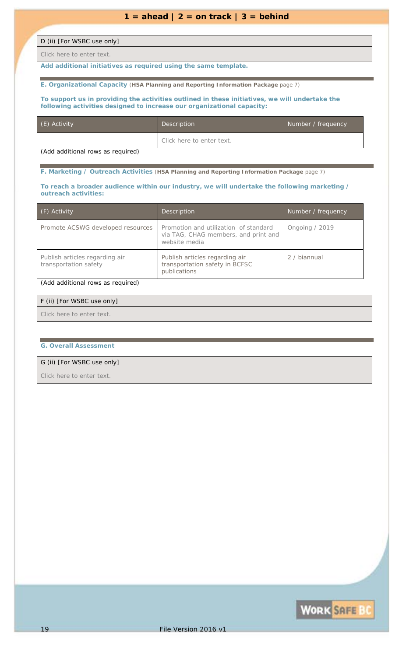### D (ii) [For WSBC use only]

*Click here to enter text.*

*Add additional initiatives as required using the same template.*

**E. Organizational Capacity** (**HSA Planning and Reporting Information Package** page 7)

#### **To support us in providing the activities outlined in these initiatives, we will undertake the following activities designed to increase our organizational capacity:**

| (E) Activity | <b>Description</b>        | Number / frequency |
|--------------|---------------------------|--------------------|
|              | Click here to enter text. |                    |

*(Add additional rows as required)*

**F. Marketing / Outreach Activities** (**HSA Planning and Reporting Information Package** page 7)

#### **To reach a broader audience within our industry, we will undertake the following marketing / outreach activities:**

| $( F)$ Activity                                         | Description                                                                                    | Number / frequency |
|---------------------------------------------------------|------------------------------------------------------------------------------------------------|--------------------|
| Promote ACSWG developed resources                       | Promotion and utilization of standard<br>via TAG, CHAG members, and print and<br>website media | Ongoing / 2019     |
| Publish articles regarding air<br>transportation safety | Publish articles regarding air<br>transportation safety in BCFSC<br>publications               | 2 / biannual       |

### *(Add additional rows as required)*

| F (ii) [For WSBC use only] |  |
|----------------------------|--|
| Click here to enter text.  |  |

#### **G. Overall Assessment**

### G (ii) [For WSBC use only]

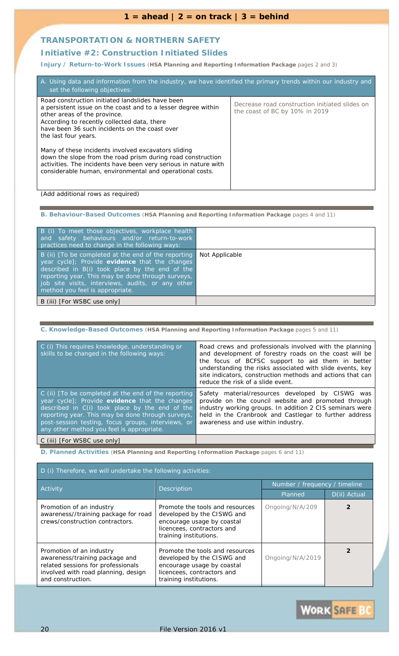### **TRANSPORTATION & NORTHERN SAFETY**

### **Initiative #2:** *Construction Initiated Slides*

**Injury / Return-to-Work Issues** (**HSA Planning and Reporting Information Package** pages 2 and 3)

| A. Using data and information from the industry, we have identified the primary trends within our industry and<br>set the following objectives:                                                                                                                           |                                                                                  |
|---------------------------------------------------------------------------------------------------------------------------------------------------------------------------------------------------------------------------------------------------------------------------|----------------------------------------------------------------------------------|
| Road construction initiated landslides have been<br>a persistent issue on the coast and to a lesser degree within<br>other areas of the province.<br>According to recently collected data, there<br>have been 36 such incidents on the coast over<br>the last four years. | Decrease road construction initiated slides on<br>the coast of BC by 10% in 2019 |
| Many of these incidents involved excavators sliding<br>down the slope from the road prism during road construction<br>activities. The incidents have been very serious in nature with<br>considerable human, environmental and operational costs.                         |                                                                                  |

*(Add additional rows as required)*

**B. Behaviour-Based Outcomes** (**HSA Planning and Reporting Information Package** pages 4 and 11)

| B (i) To meet those objectives, workplace health<br>and safety behaviours and/or return-to-work<br>practices need to change in the following ways:                                                                                                                                                   |                |
|------------------------------------------------------------------------------------------------------------------------------------------------------------------------------------------------------------------------------------------------------------------------------------------------------|----------------|
| B (ii) [To be completed at the end of the reporting<br>year cycle]; Provide evidence that the changes<br>described in B(i) took place by the end of the<br>reporting year. This may be done through surveys,<br>job site visits, interviews, audits, or any other<br>method you feel is appropriate. | Not Applicable |
| B (iii) [For WSBC use only]                                                                                                                                                                                                                                                                          |                |

**C. Knowledge-Based Outcomes** (**HSA Planning and Reporting Information Package** pages 5 and 11)

| C (i) This requires knowledge, understanding or<br>skills to be changed in the following ways:                                                                                                                                                                                                                  | Road crews and professionals involved with the planning<br>and development of forestry roads on the coast will be<br>the focus of BCFSC support to aid them in better<br>understanding the risks associated with slide events, key<br>site indicators, construction methods and actions that can<br>reduce the risk of a slide event. |
|-----------------------------------------------------------------------------------------------------------------------------------------------------------------------------------------------------------------------------------------------------------------------------------------------------------------|---------------------------------------------------------------------------------------------------------------------------------------------------------------------------------------------------------------------------------------------------------------------------------------------------------------------------------------|
| C (ii) [To be completed at the end of the reporting<br>year cycle]; Provide evidence that the changes<br>described in C(i) took place by the end of the<br>reporting year. This may be done through surveys,<br>post-session testing, focus groups, interviews, or<br>any other method you feel is appropriate. | Safety material/resources developed by CISWG was<br>provide on the council website and promoted through<br>industry working groups. In addition 2 CIS seminars were<br>held in the Cranbrook and Castlegar to further address<br>awareness and use within industry.                                                                   |
|                                                                                                                                                                                                                                                                                                                 |                                                                                                                                                                                                                                                                                                                                       |

C (iii) [*For WSBC use only*]

| D (i) Therefore, we will undertake the following activities:                                                                                                 |                                                                                                                                                     |                               |              |
|--------------------------------------------------------------------------------------------------------------------------------------------------------------|-----------------------------------------------------------------------------------------------------------------------------------------------------|-------------------------------|--------------|
| <b>Activity</b>                                                                                                                                              | Description                                                                                                                                         | Number / frequency / timeline |              |
|                                                                                                                                                              |                                                                                                                                                     | Planned                       | D(ii) Actual |
| Promotion of an industry<br>awareness//training package for road<br>crews/construction contractors.                                                          | Promote the tools and resources<br>developed by the CISWG and<br>encourage usage by coastal<br>licencees, contractors and<br>training institutions. | Ongoing/N/A/209               |              |
| Promotion of an industry<br>awareness/training package and<br>related sessions for professionals<br>involved with road planning, design<br>and construction. | Promote the tools and resources<br>developed by the CISWG and<br>encourage usage by coastal<br>licencees, contractors and<br>training institutions. | Ongoing/N/A/2019              |              |

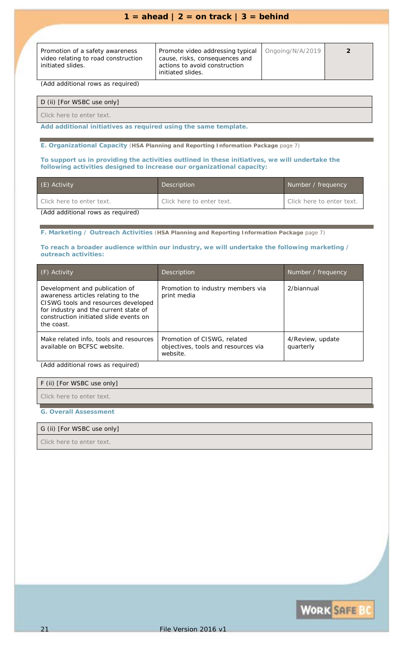| Promotion of a safety awareness<br>video relating to road construction<br>initiated slides. | Promote video addressing typical<br>cause, risks, consequences and<br>actions to avoid construction<br>initiated slides. | $O$ ngoing/N/A/2019 |  |
|---------------------------------------------------------------------------------------------|--------------------------------------------------------------------------------------------------------------------------|---------------------|--|
|                                                                                             |                                                                                                                          |                     |  |

*(Add additional rows as required)*

D (ii) [For WSBC use only]

*Click here to enter text.*

*Add additional initiatives as required using the same template.*

**E. Organizational Capacity** (**HSA Planning and Reporting Information Package** page 7)

**To support us in providing the activities outlined in these initiatives, we will undertake the following activities designed to increase our organizational capacity:**

| (E) Activity                      | Description               | Number / frequency        |
|-----------------------------------|---------------------------|---------------------------|
| Click here to enter text.         | Click here to enter text. | Click here to enter text. |
| (Add additional rows as required) |                           |                           |

*(Add additional rows as required)*

**F. Marketing / Outreach Activities** (**HSA Planning and Reporting Information Package** page 7)

### **To reach a broader audience within our industry, we will undertake the following marketing / outreach activities:**

| (F) Activity                                                                                                                                                                                                 | Description                                                                    | Number / frequency            |
|--------------------------------------------------------------------------------------------------------------------------------------------------------------------------------------------------------------|--------------------------------------------------------------------------------|-------------------------------|
| Development and publication of<br>awareness articles relating to the<br>CISWG tools and resources developed<br>for industry and the current state of<br>construction initiated slide events on<br>the coast. | Promotion to industry members via<br>print media                               | 2/biannual                    |
| Make related info, tools and resources<br>available on BCFSC website.                                                                                                                                        | Promotion of CISWG, related<br>objectives, tools and resources via<br>website. | 4/Review, update<br>quarterly |

*(Add additional rows as required)*

F (ii) [For WSBC use only]

*Click here to enter text.*

### **G. Overall Assessment**

### G (ii) [For WSBC use only]

*Click here to enter text.*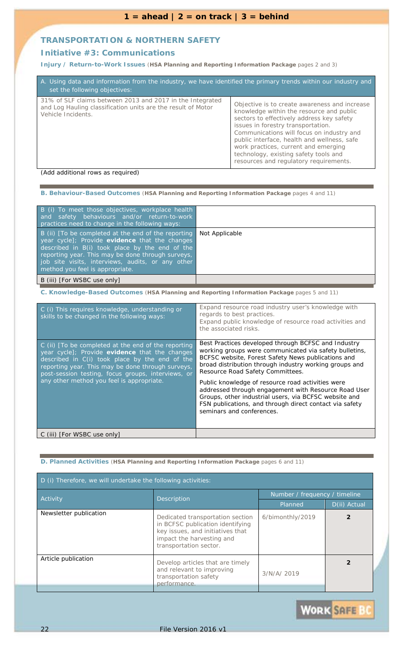### **TRANSPORTATION & NORTHERN SAFETY**

### **Initiative #3:** *Communications*

**Injury / Return-to-Work Issues** (**HSA Planning and Reporting Information Package** pages 2 and 3)

| A. Using data and information from the industry, we have identified the primary trends within our industry and<br>set the following objectives: |                                                                                                                                                                                                                                                                                                                                                                                                     |
|-------------------------------------------------------------------------------------------------------------------------------------------------|-----------------------------------------------------------------------------------------------------------------------------------------------------------------------------------------------------------------------------------------------------------------------------------------------------------------------------------------------------------------------------------------------------|
| 31% of SLF claims between 2013 and 2017 in the Integrated<br>and Log Hauling classification units are the result of Motor<br>Vehicle Incidents. | Objective is to create awareness and increase<br>knowledge within the resource and public<br>sectors to effectively address key safety<br>issues in forestry transportation.<br>Communications will focus on industry and<br>public interface, health and wellness, safe<br>work practices, current and emerging<br>technology, existing safety tools and<br>resources and regulatory requirements. |

*(Add additional rows as required)*

### **B. Behaviour-Based Outcomes** (**HSA Planning and Reporting Information Package** pages 4 and 11)

| B (i) To meet those objectives, workplace health<br>and safety behaviours and/or return-to-work<br>practices need to change in the following ways:                                                                                                                                                   |                |
|------------------------------------------------------------------------------------------------------------------------------------------------------------------------------------------------------------------------------------------------------------------------------------------------------|----------------|
| B (ii) [To be completed at the end of the reporting<br>year cycle]; Provide evidence that the changes<br>described in B(i) took place by the end of the<br>reporting year. This may be done through surveys,<br>job site visits, interviews, audits, or any other<br>method you feel is appropriate. | Not Applicable |
| B (iii) [For WSBC use only]                                                                                                                                                                                                                                                                          |                |

**C. Knowledge-Based Outcomes** (**HSA Planning and Reporting Information Package** pages 5 and 11)

| C (i) This requires knowledge, understanding or<br>skills to be changed in the following ways:                                                                                                                                                                                                                  | Expand resource road industry user's knowledge with<br>regards to best practices.<br>Expand public knowledge of resource road activities and<br>the associated risks.                                                                                             |
|-----------------------------------------------------------------------------------------------------------------------------------------------------------------------------------------------------------------------------------------------------------------------------------------------------------------|-------------------------------------------------------------------------------------------------------------------------------------------------------------------------------------------------------------------------------------------------------------------|
| C (ii) [To be completed at the end of the reporting<br>year cycle]; Provide evidence that the changes<br>described in C(i) took place by the end of the<br>reporting year. This may be done through surveys,<br>post-session testing, focus groups, interviews, or<br>any other method you feel is appropriate. | Best Practices developed through BCFSC and Industry<br>working groups were communicated via safety bulletins,<br>BCFSC website, Forest Safety News publications and<br>broad distribution through industry working groups and<br>Resource Road Safety Committees. |
|                                                                                                                                                                                                                                                                                                                 | Public knowledge of resource road activities were<br>addressed through engagement with Resource Road User<br>Groups, other industrial users, via BCFSC website and<br>FSN publications, and through direct contact via safety<br>seminars and conferences.        |
| C (iii) [ <i>For WSBC use only</i> ]                                                                                                                                                                                                                                                                            |                                                                                                                                                                                                                                                                   |

| D (i) Therefore, we will undertake the following activities: |                                                                                                                                                                 |                               |              |
|--------------------------------------------------------------|-----------------------------------------------------------------------------------------------------------------------------------------------------------------|-------------------------------|--------------|
| Activity                                                     | <b>Description</b>                                                                                                                                              | Number / frequency / timeline |              |
|                                                              |                                                                                                                                                                 | Planned                       | D(ii) Actual |
| Newsletter publication                                       | Dedicated transportation section<br>in BCFSC publication identifying<br>key issues, and initiatives that<br>impact the harvesting and<br>transportation sector. | 6/bimonthly/2019              |              |
| Article publication                                          | Develop articles that are timely<br>and relevant to improving<br>transportation safety<br>performance.                                                          | 3/N/A/2019                    |              |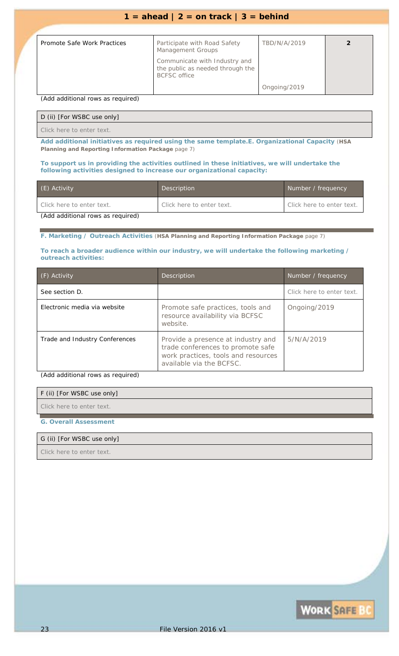| Promote Safe Work Practices | Participate with Road Safety<br><b>Management Groups</b>                                 | TBD/N/A/2019 |  |
|-----------------------------|------------------------------------------------------------------------------------------|--------------|--|
|                             | Communicate with Industry and<br>the public as needed through the<br><b>BCFSC</b> office |              |  |
|                             |                                                                                          | Ongoing/2019 |  |

*(Add additional rows as required)*

### D (ii) [For WSBC use only]

*Click here to enter text.*

*Add additional initiatives as required using the same template.***E. Organizational Capacity** (**HSA Planning and Reporting Information Package** page 7)

#### **To support us in providing the activities outlined in these initiatives, we will undertake the following activities designed to increase our organizational capacity:**

| (E) Activity                      | Description               | Number / frequency        |
|-----------------------------------|---------------------------|---------------------------|
| Click here to enter text.         | Click here to enter text. | Click here to enter text. |
| (Add additional rows as required) |                           |                           |

**F. Marketing / Outreach Activities** (**HSA Planning and Reporting Information Package** page 7)

### **To reach a broader audience within our industry, we will undertake the following marketing / outreach activities:**

| (F) Activity                   | <b>Description</b>                                                                                                                         | Number / frequency        |
|--------------------------------|--------------------------------------------------------------------------------------------------------------------------------------------|---------------------------|
| See section D.                 |                                                                                                                                            | Click here to enter text. |
| Electronic media via website   | Promote safe practices, tools and<br>resource availability via BCFSC<br>website.                                                           | Ongoing/2019              |
| Trade and Industry Conferences | Provide a presence at industry and<br>trade conferences to promote safe<br>work practices, tools and resources<br>available via the BCFSC. | 5/N/A/2019                |

*(Add additional rows as required)*

### F (ii) [For WSBC use only]

*Click here to enter text.*

### **G. Overall Assessment**

### G (ii) [For WSBC use only]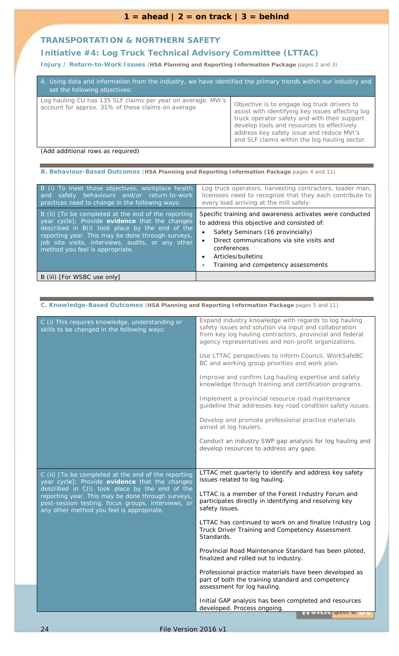### **TRANSPORTATION & NORTHERN SAFETY**

### **Initiative #4:** *Log Truck Technical Advisory Committee (LTTAC)*

**Injury / Return-to-Work Issues** (**HSA Planning and Reporting Information Package** pages 2 and 3)

| A. Using data and information from the industry, we have identified the primary trends within our industry and<br>set the following objectives: |                                                                                                                                                                                                                                                                                             |  |
|-------------------------------------------------------------------------------------------------------------------------------------------------|---------------------------------------------------------------------------------------------------------------------------------------------------------------------------------------------------------------------------------------------------------------------------------------------|--|
| Log hauling CU has 135 SLF claims per year on average. MVI's<br>account for approx. 31% of these claims on average.                             | Objective is to engage log truck drivers to<br>assist with identifying key issues affecting log<br>truck operator safety and with their support<br>develop tools and resources to effectively<br>address key safety issue and reduce MVI's<br>and SLF claims within the log hauling sector. |  |

*(Add additional rows as required)*

|  | B. Behaviour-Based Outcomes (HSA Planning and Reporting Information Package pages 4 and 11) |  |
|--|---------------------------------------------------------------------------------------------|--|
|--|---------------------------------------------------------------------------------------------|--|

| B (i) To meet those objectives, workplace health<br>safety behaviours and/or return-to-work<br>and<br>practices need to change in the following ways:                                                                                                                                                | Log truck operators, harvesting contractors, loader man,<br>licensees need to recognize that they each contribute to<br>every load arriving at the mill safely.                                                                                                            |
|------------------------------------------------------------------------------------------------------------------------------------------------------------------------------------------------------------------------------------------------------------------------------------------------------|----------------------------------------------------------------------------------------------------------------------------------------------------------------------------------------------------------------------------------------------------------------------------|
| B (ii) [To be completed at the end of the reporting<br>year cycle]; Provide evidence that the changes<br>described in B(i) took place by the end of the<br>reporting year. This may be done through surveys,<br>job site visits, interviews, audits, or any other<br>method you feel is appropriate. | Specific training and awareness activates were conducted<br>to address this objective and consisted of:<br>Safety Seminars (16 provincially)<br>Direct communications via site visits and<br>conferences<br>Articles/bulletins<br>٠<br>Training and competency assessments |
| B (iii) [For WSBC use only]                                                                                                                                                                                                                                                                          |                                                                                                                                                                                                                                                                            |

### **C. Knowledge-Based Outcomes** (**HSA Planning and Reporting Information Package** pages 5 and 11)

| C (i) This requires knowledge, understanding or<br>skills to be changed in the following ways:                                                                                                         | Expand industry knowledge with regards to log hauling<br>safety issues and solution via input and collaboration<br>from key log hauling contractors, provincial and federal<br>agency representatives and non-profit organizations. |
|--------------------------------------------------------------------------------------------------------------------------------------------------------------------------------------------------------|-------------------------------------------------------------------------------------------------------------------------------------------------------------------------------------------------------------------------------------|
|                                                                                                                                                                                                        | Use LTTAC perspectives to inform Council, WorkSafeBC<br>BC and working group priorities and work plan.                                                                                                                              |
|                                                                                                                                                                                                        | Improve and confirm Log hauling expertise and safety<br>knowledge through training and certification programs.                                                                                                                      |
|                                                                                                                                                                                                        | Implement a provincial resource road maintenance<br>guideline that addresses key road condition safety issues.                                                                                                                      |
|                                                                                                                                                                                                        | Develop and promote professional practice materials<br>aimed at log haulers.                                                                                                                                                        |
|                                                                                                                                                                                                        | Conduct an industry SWP gap analysis for log hauling and<br>develop resources to address any gaps.                                                                                                                                  |
|                                                                                                                                                                                                        |                                                                                                                                                                                                                                     |
| C (ii) [To be completed at the end of the reporting<br>year cycle]; Provide evidence that the changes                                                                                                  | LTTAC met quarterly to identify and address key safety<br>issues related to log hauling.                                                                                                                                            |
| described in C(i) took place by the end of the<br>reporting year. This may be done through surveys,<br>post-session testing, focus groups, interviews, or<br>any other method you feel is appropriate. | LTTAC is a member of the Forest Industry Forum and<br>participates directly in identifying and resolving key<br>safety issues.                                                                                                      |
|                                                                                                                                                                                                        | LTTAC has continued to work on and finalize Industry Log<br>Truck Driver Training and Competency Assessment<br>Standards.                                                                                                           |
|                                                                                                                                                                                                        | Provincial Road Maintenance Standard has been piloted,<br>finalized and rolled out to industry.                                                                                                                                     |
|                                                                                                                                                                                                        | Professional practice materials have been developed as<br>part of both the training standard and competency<br>assessment for log hauling.                                                                                          |
|                                                                                                                                                                                                        | Initial GAP analysis has been completed and resources<br>developed. Process ongoing.<br><b>AACAARA</b>                                                                                                                              |
|                                                                                                                                                                                                        |                                                                                                                                                                                                                                     |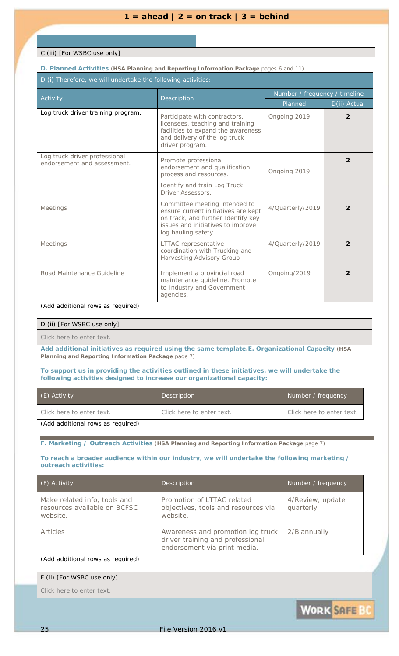C (iii) [*For WSBC use only*]

**D. Planned Activities** (**HSA Planning and Reporting Information Package** pages 6 and 11)

D (i) Therefore, we will undertake the following activities:

| Activity                                                     | Description                                                                                                                                                            | Number / frequency / timeline |                |
|--------------------------------------------------------------|------------------------------------------------------------------------------------------------------------------------------------------------------------------------|-------------------------------|----------------|
|                                                              |                                                                                                                                                                        | Planned                       | D(ii) Actual   |
| Log truck driver training program.                           | Participate with contractors,<br>licensees, teaching and training<br>facilities to expand the awareness<br>and delivery of the log truck<br>driver program.            | Ongoing 2019                  | 2              |
| Log truck driver professional<br>endorsement and assessment. | Promote professional<br>endorsement and qualification<br>process and resources.<br>Identify and train Log Truck<br>Driver Assessors.                                   | Ongoing 2019                  | 2              |
| <b>Meetings</b>                                              | Committee meeting intended to<br>ensure current initiatives are kept<br>on track, and further Identify key<br>issues and initiatives to improve<br>log hauling safety. | 4/Quarterly/2019              | $\overline{2}$ |
| <b>Meetings</b>                                              | LTTAC representative<br>coordination with Trucking and<br><b>Harvesting Advisory Group</b>                                                                             | 4/Quarterly/2019              | $\mathfrak{p}$ |
| Road Maintenance Guideline                                   | Implement a provincial road<br>maintenance guideline. Promote<br>to Industry and Government<br>agencies.                                                               | Ongoing/2019                  | $\mathfrak{p}$ |

*(Add additional rows as required)*

### D (ii) [For WSBC use only]

*Click here to enter text.*

*Add additional initiatives as required using the same template.***E. Organizational Capacity** (**HSA Planning and Reporting Information Package** page 7)

### **To support us in providing the activities outlined in these initiatives, we will undertake the following activities designed to increase our organizational capacity:**

| (E) Activity              | Description               | Number / frequency        |
|---------------------------|---------------------------|---------------------------|
| Click here to enter text. | Click here to enter text. | Click here to enter text. |
|                           |                           |                           |

*(Add additional rows as required)*

**F. Marketing / Outreach Activities** (**HSA Planning and Reporting Information Package** page 7)

### **To reach a broader audience within our industry, we will undertake the following marketing / outreach activities:**

| (F) Activity                                                                                                                                                                                                                                                                         | Description                                                                                           | Number / frequency            |
|--------------------------------------------------------------------------------------------------------------------------------------------------------------------------------------------------------------------------------------------------------------------------------------|-------------------------------------------------------------------------------------------------------|-------------------------------|
| Make related info, tools and<br>resources available on BCFSC<br>website.                                                                                                                                                                                                             | Promotion of LTTAC related<br>objectives, tools and resources via<br>website.                         | 4/Review, update<br>quarterly |
| Articles                                                                                                                                                                                                                                                                             | Awareness and promotion log truck<br>driver training and professional<br>endorsement via print media. | 2/Biannually                  |
| $\{A_1, A_2, A_3, A_4, A_5, A_6, A_7, A_8, A_9, A_1, A_2, A_1, A_2, A_1, A_2, A_1, A_2, A_3, A_4, A_5, A_6, A_7, A_8, A_9, A_1, A_2, A_1, A_2, A_1, A_2, A_2, A_3, A_4, A_4, A_5, A_6, A_7, A_7, A_8, A_1, A_2, A_3, A_4, A_5, A_6, A_7, A_7, A_8, A_1, A_2, A_3, A_1, A_2, A_3, A_$ |                                                                                                       |                               |

*(Add additional rows as required)*

| F (ii) [For WSBC use only] |  |  |
|----------------------------|--|--|
|                            |  |  |

**WORK SAFE BC**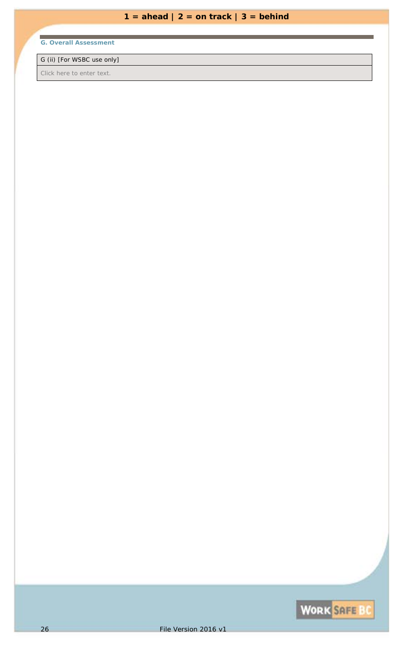# **G. Overall Assessment**

### G (ii) [For WSBC use only]

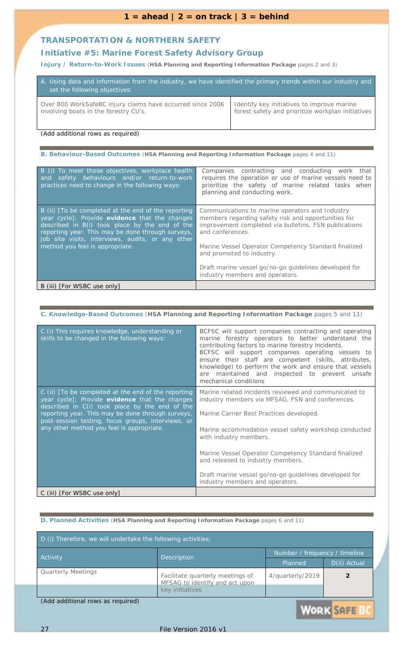### **TRANSPORTATION & NORTHERN SAFETY**

### **Initiative #5:** *Marine Forest Safety Advisory Group*

**Injury / Return-to-Work Issues** (**HSA Planning and Reporting Information Package** pages 2 and 3)

| A. Using data and information from the industry, we have identified the primary trends within our industry and<br>set the following objectives: |                                                   |  |
|-------------------------------------------------------------------------------------------------------------------------------------------------|---------------------------------------------------|--|
| Over 800 WorkSafeBC injury claims have occurred since 2006                                                                                      | Identify key initiatives to improve marine        |  |
| involving boats in the forestry CU's.                                                                                                           | forest safety and prioritize workplan initiatives |  |

*(Add additional rows as required)*

### **B. Behaviour-Based Outcomes** (**HSA Planning and Reporting Information Package** pages 4 and 11)

| B (i) To meet those objectives, workplace health<br>safety behaviours and/or return-to-work<br>and<br>practices need to change in the following ways:                                                                                                                                                | Companies contracting and conducting work that<br>requires the operation or use of marine vessels need to<br>prioritize the safety of marine related tasks when<br>planning and conducting work.                                                                                                                                                                     |
|------------------------------------------------------------------------------------------------------------------------------------------------------------------------------------------------------------------------------------------------------------------------------------------------------|----------------------------------------------------------------------------------------------------------------------------------------------------------------------------------------------------------------------------------------------------------------------------------------------------------------------------------------------------------------------|
| B (ii) [To be completed at the end of the reporting<br>year cycle]; Provide evidence that the changes<br>described in B(i) took place by the end of the<br>reporting year. This may be done through surveys,<br>job site visits, interviews, audits, or any other<br>method you feel is appropriate. | Communications to marine operators and Industry<br>members regarding safety risk and opportunities for<br>improvement completed via bulletins, FSN publications<br>and conferences.<br>Marine Vessel Operator Competency Standard finalized<br>and promoted to industry.<br>Draft marine vessel go/no-go guidelines developed for<br>industry members and operators. |
| B (iii) [For WSBC use only]                                                                                                                                                                                                                                                                          |                                                                                                                                                                                                                                                                                                                                                                      |

### **C. Knowledge-Based Outcomes** (**HSA Planning and Reporting Information Package** pages 5 and 11)

| C (i) This requires knowledge, understanding or<br>skills to be changed in the following ways:                                                                                                               | BCFSC will support companies contracting and operating<br>marine forestry operators to better understand the<br>contributing factors to marine forestry incidents.<br>BCFSC will support companies operating vessels to<br>ensure their staff are competent (skills, attributes,<br>knowledge) to perform the work and ensure that vessels<br>maintained and inspected to prevent unsafe<br>are.<br>mechanical conditions |
|--------------------------------------------------------------------------------------------------------------------------------------------------------------------------------------------------------------|---------------------------------------------------------------------------------------------------------------------------------------------------------------------------------------------------------------------------------------------------------------------------------------------------------------------------------------------------------------------------------------------------------------------------|
| C (ii) [To be completed at the end of the reporting<br>year cycle]; Provide evidence that the changes<br>described in C(i) took place by the end of the<br>reporting year. This may be done through surveys, | Marine related incidents reviewed and communicated to<br>industry members via MFSAG, FSN and conferences.<br>Marine Carrier Best Practices developed.                                                                                                                                                                                                                                                                     |
| post-session testing, focus groups, interviews, or<br>any other method you feel is appropriate.                                                                                                              | Marine accommodation vessel safety workshop conducted<br>with industry members.                                                                                                                                                                                                                                                                                                                                           |
|                                                                                                                                                                                                              | Marine Vessel Operator Competency Standard finalized<br>and released to industry members.                                                                                                                                                                                                                                                                                                                                 |
|                                                                                                                                                                                                              | Draft marine vessel go/no-go guidelines developed for<br>industry members and operators.                                                                                                                                                                                                                                                                                                                                  |
| C (iii) [For WSBC use only]                                                                                                                                                                                  |                                                                                                                                                                                                                                                                                                                                                                                                                           |

| Number / frequency / timeline |                  |
|-------------------------------|------------------|
|                               |                  |
| Planned                       | D(ii) Actual     |
| 4/quarterly/2019              |                  |
|                               | <b>WORK SOFF</b> |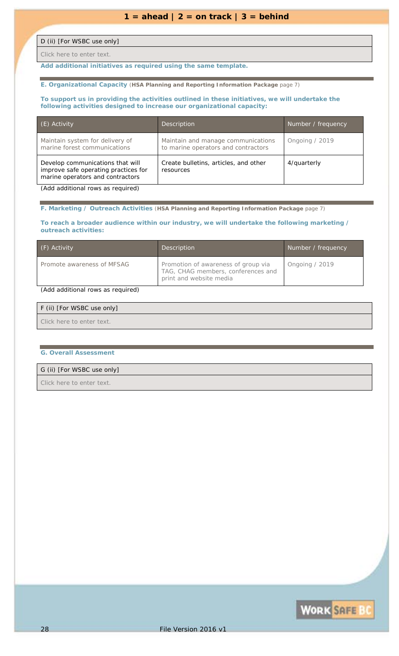### D (ii) [For WSBC use only]

*Click here to enter text.*

*Add additional initiatives as required using the same template.*

**E. Organizational Capacity** (**HSA Planning and Reporting Information Package** page 7)

### **To support us in providing the activities outlined in these initiatives, we will undertake the following activities designed to increase our organizational capacity:**

| (E) Activity                                                                                                 | Description                                                               | Number / frequency |
|--------------------------------------------------------------------------------------------------------------|---------------------------------------------------------------------------|--------------------|
| Maintain system for delivery of<br>marine forest communications                                              | Maintain and manage communications<br>to marine operators and contractors | Ongoing / 2019     |
| Develop communications that will<br>improve safe operating practices for<br>marine operators and contractors | Create bulletins, articles, and other<br>resources                        | 4/quarterly        |

*(Add additional rows as required)*

#### **F. Marketing / Outreach Activities** (**HSA Planning and Reporting Information Package** page 7)

#### **To reach a broader audience within our industry, we will undertake the following marketing / outreach activities:**

| (F) Activity               | Description                                                                                          | Number / frequency |
|----------------------------|------------------------------------------------------------------------------------------------------|--------------------|
| Promote awareness of MFSAG | Promotion of awareness of group via<br>TAG, CHAG members, conferences and<br>print and website media | Ongoing / 2019     |

### *(Add additional rows as required)*

| F (ii) [For WSBC use only] |  |
|----------------------------|--|
| Click here to enter text.  |  |

#### **G. Overall Assessment**

### G (ii) [For WSBC use only]

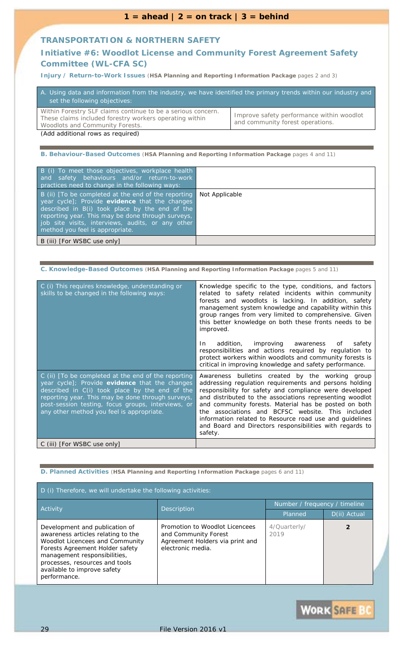### **TRANSPORTATION & NORTHERN SAFETY**

### **Initiative #6:** *Woodlot License and Community Forest Agreement Safety Committee (WL-CFA SC)*

**Injury / Return-to-Work Issues** (**HSA Planning and Reporting Information Package** pages 2 and 3)

| A. Using data and information from the industry, we have identified the primary trends within our industry and<br>set the following objectives:                   |                                                                               |
|-------------------------------------------------------------------------------------------------------------------------------------------------------------------|-------------------------------------------------------------------------------|
| Within Forestry SLF claims continue to be a serious concern.<br>These claims included forestry workers operating within<br><b>Woodlots and Community Forests.</b> | Improve safety performance within woodlot<br>and community forest operations. |

*(Add additional rows as required)*

**B. Behaviour-Based Outcomes** (**HSA Planning and Reporting Information Package** pages 4 and 11)

| B (i) To meet those objectives, workplace health<br>and safety behaviours and/or return-to-work<br>practices need to change in the following ways:                                                                                                                                                   |                |
|------------------------------------------------------------------------------------------------------------------------------------------------------------------------------------------------------------------------------------------------------------------------------------------------------|----------------|
| B (ii) [To be completed at the end of the reporting<br>year cycle]; Provide evidence that the changes<br>described in B(i) took place by the end of the<br>reporting year. This may be done through surveys,<br>job site visits, interviews, audits, or any other<br>method you feel is appropriate. | Not Applicable |
| B (iii) [For WSBC use only]                                                                                                                                                                                                                                                                          |                |

#### **C. Knowledge-Based Outcomes** (**HSA Planning and Reporting Information Package** pages 5 and 11)

| C (i) This requires knowledge, understanding or<br>skills to be changed in the following ways:                                                                                                                                                                                                                  | Knowledge specific to the type, conditions, and factors<br>related to safety related incidents within community<br>forests and woodlots is lacking. In addition, safety<br>management system knowledge and capability within this<br>group ranges from very limited to comprehensive. Given<br>this better knowledge on both these fronts needs to be<br><i>improved.</i>                                                                                                         |
|-----------------------------------------------------------------------------------------------------------------------------------------------------------------------------------------------------------------------------------------------------------------------------------------------------------------|-----------------------------------------------------------------------------------------------------------------------------------------------------------------------------------------------------------------------------------------------------------------------------------------------------------------------------------------------------------------------------------------------------------------------------------------------------------------------------------|
|                                                                                                                                                                                                                                                                                                                 | addition,<br><i>improving awareness</i><br>In<br>safety<br>οf<br>responsibilities and actions required by regulation to<br>protect workers within woodlots and community forests is<br>critical in improving knowledge and safety performance.                                                                                                                                                                                                                                    |
| C (ii) [To be completed at the end of the reporting<br>year cycle]; Provide evidence that the changes<br>described in C(i) took place by the end of the<br>reporting year. This may be done through surveys,<br>post-session testing, focus groups, interviews, or<br>any other method you feel is appropriate. | Awareness bulletins created by the working group<br>addressing regulation requirements and persons holding<br>responsibility for safety and compliance were developed<br>and distributed to the associations representing woodlot<br>and community forests. Material has be posted on both<br>the associations and BCFSC website. This included<br>information related to Resource road use and guidelines<br>and Board and Directors responsibilities with regards to<br>safety. |
| C (iii) [For WSBC use only]                                                                                                                                                                                                                                                                                     |                                                                                                                                                                                                                                                                                                                                                                                                                                                                                   |

| D (i) Therefore, we will undertake the following activities:                                                                                                                                                                                                       |                                                                                                                |                               |              |
|--------------------------------------------------------------------------------------------------------------------------------------------------------------------------------------------------------------------------------------------------------------------|----------------------------------------------------------------------------------------------------------------|-------------------------------|--------------|
| <b>Activity</b>                                                                                                                                                                                                                                                    | <b>Description</b>                                                                                             | Number / frequency / timeline |              |
|                                                                                                                                                                                                                                                                    |                                                                                                                | Planned                       | D(ii) Actual |
| Development and publication of<br>awareness articles relating to the<br><b>Woodlot Licencees and Community</b><br>Forests Agreement Holder safety<br>management responsibilities,<br>processes, resources and tools<br>available to improve safety<br>performance. | Promotion to Woodlot Licencees<br>and Community Forest<br>Agreement Holders via print and<br>electronic media. | 4/Quarterly/<br>2019          |              |

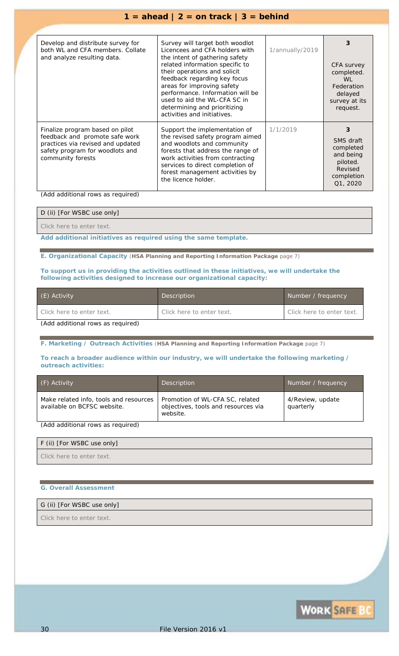### $1 = \text{ahead} \mid 2 = \text{on track} \mid 3 = \text{behind}$

| Develop and distribute survey for<br>both WL and CFA members. Collate<br>and analyze resulting data.                                                           | Survey will target both woodlot<br>Licencees and CFA holders with<br>the intent of gathering safety<br>related information specific to<br>their operations and solicit<br>feedback regarding key focus<br>areas for improving safety<br>performance. Information will be<br>used to aid the WL-CFA SC in<br>determining and prioritizing<br>activities and initiatives. | 1/annually/2019 | 3<br>CFA survey<br>completed.<br>WI<br>Federation<br>delayed<br>survey at its<br>request.        |
|----------------------------------------------------------------------------------------------------------------------------------------------------------------|-------------------------------------------------------------------------------------------------------------------------------------------------------------------------------------------------------------------------------------------------------------------------------------------------------------------------------------------------------------------------|-----------------|--------------------------------------------------------------------------------------------------|
| Finalize program based on pilot<br>feedback and promote safe work<br>practices via revised and updated<br>safety program for woodlots and<br>community forests | Support the implementation of<br>the revised safety program aimed<br>and woodlots and community<br>forests that address the range of<br>work activities from contracting<br>services to direct completion of<br>forest management activities by<br>the licence holder.                                                                                                  | 1/1/2019        | 3<br><b>SMS</b> draft<br>completed<br>and being<br>piloted.<br>Revised<br>completion<br>Q1, 2020 |

*(Add additional rows as required)*

D (ii) [For WSBC use only]

*Click here to enter text.*

*Add additional initiatives as required using the same template.*

**E. Organizational Capacity** (**HSA Planning and Reporting Information Package** page 7)

**To support us in providing the activities outlined in these initiatives, we will undertake the following activities designed to increase our organizational capacity:**

| (E) Activity                      | Description               | Number / frequency        |
|-----------------------------------|---------------------------|---------------------------|
| Click here to enter text.         | Click here to enter text. | Click here to enter text. |
| (Add additional rows as required) |                           |                           |

**F. Marketing / Outreach Activities** (**HSA Planning and Reporting Information Package** page 7)

**To reach a broader audience within our industry, we will undertake the following marketing / outreach activities:**

| (F) Activity                                                          | <b>Description</b>                                                                 | Number / frequency            |
|-----------------------------------------------------------------------|------------------------------------------------------------------------------------|-------------------------------|
| Make related info, tools and resources<br>available on BCFSC website. | Promotion of WL-CFA SC, related<br>objectives, tools and resources via<br>website. | 4/Review, update<br>quarterly |

*(Add additional rows as required)*

### F (ii) [For WSBC use only]

*Click here to enter text.*

### **G. Overall Assessment**

#### G (ii) [For WSBC use only]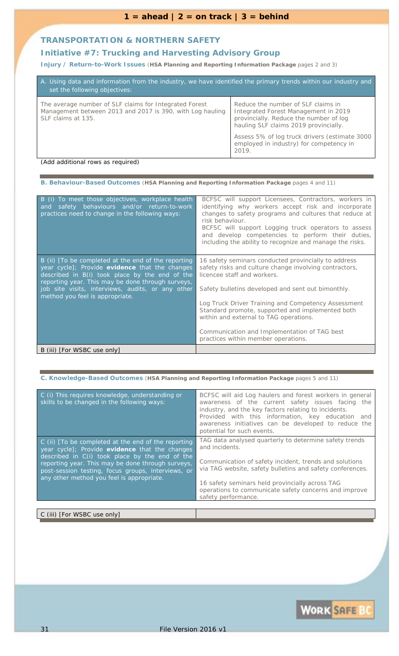### **TRANSPORTATION & NORTHERN SAFETY**

### **Initiative #7:** *Trucking and Harvesting Advisory Group*

**Injury / Return-to-Work Issues** (**HSA Planning and Reporting Information Package** pages 2 and 3)

| A. Using data and information from the industry, we have identified the primary trends within our industry and<br>set the following objectives: |                                                                                                                                                               |  |
|-------------------------------------------------------------------------------------------------------------------------------------------------|---------------------------------------------------------------------------------------------------------------------------------------------------------------|--|
| The average number of SLF claims for Integrated Forest<br>Management between 2013 and 2017 is 390, with Log hauling<br>SLF claims at 135.       | Reduce the number of SLF claims in<br>Integrated Forest Management in 2019<br>provincially. Reduce the number of log<br>hauling SLF claims 2019 provincially. |  |
|                                                                                                                                                 | Assess 5% of log truck drivers (estimate 3000<br>employed in industry) for competency in<br>2019.                                                             |  |

*(Add additional rows as required)*

**B. Behaviour-Based Outcomes** (**HSA Planning and Reporting Information Package** pages 4 and 11)

| B (i) To meet those objectives, workplace health<br>safety behaviours and/or return-to-work<br>and<br>practices need to change in the following ways:                                                                                                                                                | BCFSC will support Licensees, Contractors, workers in<br>identifying why workers accept risk and incorporate<br>changes to safety programs and cultures that reduce at<br>risk behaviour.<br>BCFSC will support Logging truck operators to assess<br>and develop competencies to perform their duties,<br>including the ability to recognize and manage the risks.                                                                              |
|------------------------------------------------------------------------------------------------------------------------------------------------------------------------------------------------------------------------------------------------------------------------------------------------------|-------------------------------------------------------------------------------------------------------------------------------------------------------------------------------------------------------------------------------------------------------------------------------------------------------------------------------------------------------------------------------------------------------------------------------------------------|
| B (ii) [To be completed at the end of the reporting<br>year cycle]; Provide evidence that the changes<br>described in B(i) took place by the end of the<br>reporting year. This may be done through surveys,<br>job site visits, interviews, audits, or any other<br>method you feel is appropriate. | 16 safety seminars conducted provincially to address<br>safety risks and culture change involving contractors,<br>licencee staff and workers.<br>Safety bulletins developed and sent out bimonthly.<br>Log Truck Driver Training and Competency Assessment<br>Standard promote, supported and implemented both<br>within and external to TAG operations.<br>Communication and Implementation of TAG best<br>practices within member operations. |
| B (iii) [For WSBC use only]                                                                                                                                                                                                                                                                          |                                                                                                                                                                                                                                                                                                                                                                                                                                                 |

| C. Knowledge-Based Outcomes (HSA Planning and Reporting Information Package pages 5 and 11)                                                                                                                                                                                                                     |                                                                                                                                                                                                                                                                                                                                    |  |
|-----------------------------------------------------------------------------------------------------------------------------------------------------------------------------------------------------------------------------------------------------------------------------------------------------------------|------------------------------------------------------------------------------------------------------------------------------------------------------------------------------------------------------------------------------------------------------------------------------------------------------------------------------------|--|
| C (i) This requires knowledge, understanding or<br>skills to be changed in the following ways:                                                                                                                                                                                                                  | BCFSC will aid Log haulers and forest workers in general<br>awareness of the current safety issues facing the<br>industry, and the key factors relating to incidents.<br>Provided with this information, key education<br>and<br>awareness initiatives can be developed to reduce the<br>potential for such events.                |  |
| C (ii) [To be completed at the end of the reporting<br>year cycle]; Provide evidence that the changes<br>described in C(i) took place by the end of the<br>reporting year. This may be done through surveys,<br>post-session testing, focus groups, interviews, or<br>any other method you feel is appropriate. | TAG data analysed quarterly to determine safety trends<br>and incidents.<br>Communication of safety incident, trends and solutions<br>via TAG website, safety bulletins and safety conferences.<br>16 safety seminars held provincially across TAG<br>operations to communicate safety concerns and improve<br>safety performance. |  |
| C (iii) [For WSBC use only]                                                                                                                                                                                                                                                                                     |                                                                                                                                                                                                                                                                                                                                    |  |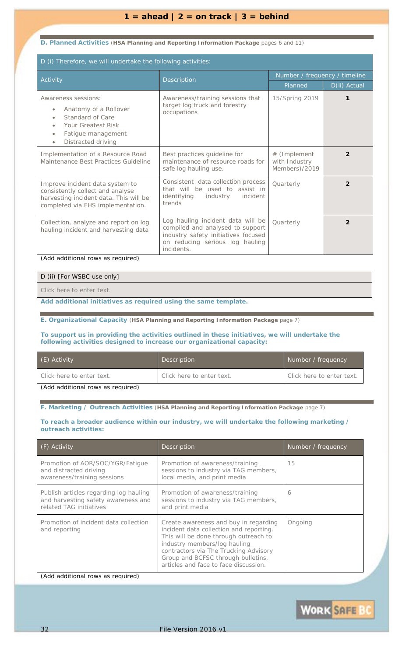### **D. Planned Activities** (**HSA Planning and Reporting Information Package** pages 6 and 11)

| D (i) Therefore, we will undertake the following activities:                                                                                       |                                                                                                                                                               |                                                |                |
|----------------------------------------------------------------------------------------------------------------------------------------------------|---------------------------------------------------------------------------------------------------------------------------------------------------------------|------------------------------------------------|----------------|
| Activity                                                                                                                                           | <b>Description</b>                                                                                                                                            | Number / frequency / timeline                  |                |
|                                                                                                                                                    |                                                                                                                                                               | Planned                                        | D(ii) Actual   |
| Awareness sessions:<br>Anatomy of a Rollover<br>Standard of Care<br>Your Greatest Risk<br>Fatigue management<br>Distracted driving                 | Awareness/training sessions that<br>target log truck and forestry<br>occupations                                                                              | 15/Spring 2019                                 |                |
| Implementation of a Resource Road<br>Maintenance Best Practices Guideline                                                                          | Best practices guideline for<br>maintenance of resource roads for<br>safe log hauling use.                                                                    | # (Implement<br>with Industry<br>Members)/2019 | $\overline{2}$ |
| Improve incident data system to<br>consistently collect and analyse<br>harvesting incident data. This will be<br>completed via EHS implementation. | Consistent data collection process<br>that will be used to assist in<br>identifying<br>incident<br>industry<br>trends                                         | Quarterly                                      | $\overline{2}$ |
| Collection, analyze and report on log<br>hauling incident and harvesting data<br>(Add additional rows as required)                                 | Log hauling incident data will be<br>compiled and analysed to support<br>industry safety initiatives focused<br>on reducing serious log hauling<br>incidents. | Quarterly                                      | $\mathfrak{p}$ |

D (ii) [For WSBC use only]

*Click here to enter text.*

*Add additional initiatives as required using the same template.*

**E. Organizational Capacity** (**HSA Planning and Reporting Information Package** page 7)

### **To support us in providing the activities outlined in these initiatives, we will undertake the following activities designed to increase our organizational capacity:**

| (E) Activity                      | Description               | Number / frequency        |
|-----------------------------------|---------------------------|---------------------------|
| Click here to enter text.         | Click here to enter text. | Click here to enter text. |
| (Add additional rows as required) |                           |                           |

**F. Marketing / Outreach Activities** (**HSA Planning and Reporting Information Package** page 7)

#### **To reach a broader audience within our industry, we will undertake the following marketing / outreach activities:**

| $(F)$ Activity                                                                                           | Description                                                                                                                                                                                                                                                                       | Number / frequency |
|----------------------------------------------------------------------------------------------------------|-----------------------------------------------------------------------------------------------------------------------------------------------------------------------------------------------------------------------------------------------------------------------------------|--------------------|
| Promotion of AOR/SOC/YGR/Fatique<br>and distracted driving<br>awareness/training sessions                | Promotion of awareness/training<br>sessions to industry via TAG members,<br>local media, and print media                                                                                                                                                                          | 15                 |
| Publish articles regarding log hauling<br>and harvesting safety awareness and<br>related TAG initiatives | Promotion of awareness/training<br>sessions to industry via TAG members,<br>and print media                                                                                                                                                                                       | 6                  |
| Promotion of incident data collection<br>and reporting                                                   | Create awareness and buy in regarding<br>incident data collection and reporting.<br>This will be done through outreach to<br>industry members/log hauling<br>contractors via The Trucking Advisory<br>Group and BCFSC through bulletins,<br>articles and face to face discussion. | Ongoing            |

*(Add additional rows as required)*

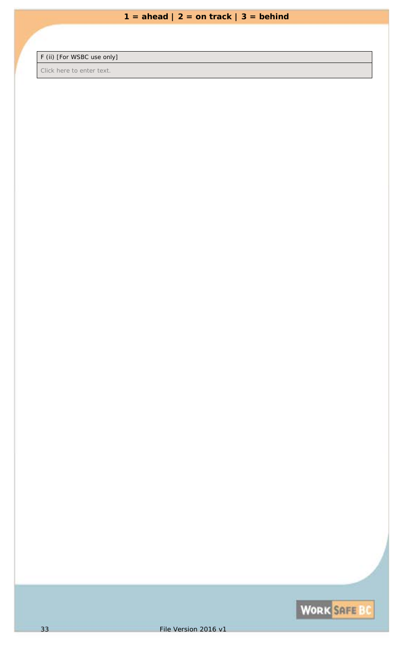F (ii) [For WSBC use only]

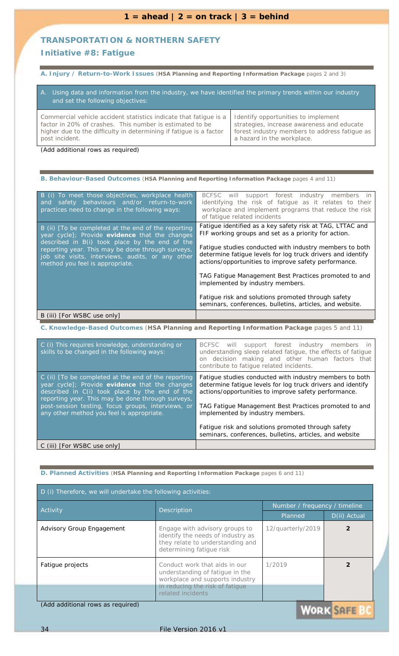### **TRANSPORTATION & NORTHERN SAFETY**

### **Initiative #8:** *Fatigue*

**A. Injury / Return-to-Work Issues** (**HSA Planning and Reporting Information Package** pages 2 and 3)

| Using data and information from the industry, we have identified the primary trends within our industry<br>$A_{1}$<br>and set the following objectives: |                                               |  |
|---------------------------------------------------------------------------------------------------------------------------------------------------------|-----------------------------------------------|--|
| Commercial vehicle accident statistics indicate that fatigue is a                                                                                       | Identify opportunities to implement           |  |
| factor in 20% of crashes. This number is estimated to be                                                                                                | strategies, increase awareness and educate    |  |
| higher due to the difficulty in determining if fatigue is a factor                                                                                      | forest industry members to address fatique as |  |
| post incident.                                                                                                                                          | a hazard in the workplace.                    |  |

*(Add additional rows as required)*

### **B. Behaviour-Based Outcomes** (**HSA Planning and Reporting Information Package** pages 4 and 11)

| B (i) To meet those objectives, workplace health<br>safety behaviours and/or return-to-work<br>and<br>practices need to change in the following ways:                                                                                                                                                | BCFSC will support forest industry members in<br>identifying the risk of fatigue as it relates to their<br>workplace and implement programs that reduce the risk<br>of fatique related incidents                                                                                                                                                                                                                                                                                                                   |
|------------------------------------------------------------------------------------------------------------------------------------------------------------------------------------------------------------------------------------------------------------------------------------------------------|--------------------------------------------------------------------------------------------------------------------------------------------------------------------------------------------------------------------------------------------------------------------------------------------------------------------------------------------------------------------------------------------------------------------------------------------------------------------------------------------------------------------|
| B (ii) [To be completed at the end of the reporting<br>year cycle]; Provide evidence that the changes<br>described in B(i) took place by the end of the<br>reporting year. This may be done through surveys,<br>job site visits, interviews, audits, or any other<br>method you feel is appropriate. | Fatigue identified as a key safety risk at TAG, LTTAC and<br>FIF working groups and set as a priority for action.<br>Fatigue studies conducted with industry members to both<br>determine fatique levels for log truck drivers and identify<br>actions/opportunities to improve safety performance.<br>TAG Fatigue Management Best Practices promoted to and<br>implemented by industry members.<br>Fatigue risk and solutions promoted through safety<br>seminars, conferences, bulletins, articles, and website. |
| B (iii) [ <i>For WSBC use only</i> ]                                                                                                                                                                                                                                                                 |                                                                                                                                                                                                                                                                                                                                                                                                                                                                                                                    |

**C. Knowledge-Based Outcomes** (**HSA Planning and Reporting Information Package** pages 5 and 11)

| C (i) This requires knowledge, understanding or<br>skills to be changed in the following ways:                                                                                                                                                                                                                  | BCFSC will<br>support forest industry members in<br>understanding sleep related fatigue, the effects of fatigue<br>on decision making and other human factors that<br>contribute to fatique related incidents.                                                                                                                                                                               |
|-----------------------------------------------------------------------------------------------------------------------------------------------------------------------------------------------------------------------------------------------------------------------------------------------------------------|----------------------------------------------------------------------------------------------------------------------------------------------------------------------------------------------------------------------------------------------------------------------------------------------------------------------------------------------------------------------------------------------|
| C (ii) [To be completed at the end of the reporting<br>year cycle]; Provide evidence that the changes<br>described in C(i) took place by the end of the<br>reporting year. This may be done through surveys,<br>post-session testing, focus groups, interviews, or<br>any other method you feel is appropriate. | Fatigue studies conducted with industry members to both<br>determine fatigue levels for log truck drivers and identify<br>actions/opportunities to improve safety performance.<br>TAG Fatique Management Best Practices promoted to and<br>implemented by industry members.<br>Fatigue risk and solutions promoted through safety<br>seminars, conferences, bulletins, articles, and website |
| C (iii) [For WSBC use only]                                                                                                                                                                                                                                                                                     |                                                                                                                                                                                                                                                                                                                                                                                              |

### **D. Planned Activities** (**HSA Planning and Reporting Information Package** pages 6 and 11)

| D (i) Therefore, we will undertake the following activities:              |                                                                                                                                                             |                               |              |
|---------------------------------------------------------------------------|-------------------------------------------------------------------------------------------------------------------------------------------------------------|-------------------------------|--------------|
| Activity                                                                  | <b>Description</b>                                                                                                                                          | Number / frequency / timeline |              |
|                                                                           |                                                                                                                                                             | Planned                       | D(ii) Actual |
| <b>Advisory Group Engagement</b>                                          | Engage with advisory groups to<br>identify the needs of industry as<br>they relate to understanding and<br>determining fatigue risk                         | 12/quarterly/2019             |              |
| Fatigue projects                                                          | Conduct work that aids in our<br>understanding of fatique in the<br>workplace and supports industry<br>in reducing the risk of fatigue<br>related incidents | 1/2019                        |              |
| (Add additional rows as required)<br><b>A Concert of the Common State</b> |                                                                                                                                                             |                               |              |

VORK SAFE BU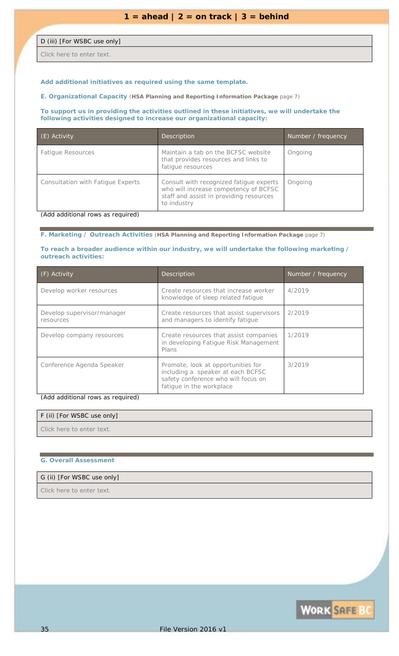### D (iii) [For WSBC use only]

*Click here to enter text.*

### *Add additional initiatives as required using the same template.*

**E. Organizational Capacity** (**HSA Planning and Reporting Information Package** page 7)

### **To support us in providing the activities outlined in these initiatives, we will undertake the following activities designed to increase our organizational capacity:**

| (E) Activity                      | Description                                                                                                                                | Number / frequency |
|-----------------------------------|--------------------------------------------------------------------------------------------------------------------------------------------|--------------------|
| <b>Fatigue Resources</b>          | Maintain a tab on the BCFSC website<br>that provides resources and links to<br>fatigue resources                                           | Ongoing            |
| Consultation with Fatique Experts | Consult with recognized fatigue experts<br>who will increase competency of BCFSC<br>staff and assist in providing resources<br>to industry | Ongoing            |

*(Add additional rows as required)*

### **F. Marketing / Outreach Activities** (**HSA Planning and Reporting Information Package** page 7)

#### **To reach a broader audience within our industry, we will undertake the following marketing / outreach activities:**

| (F) Activity                            | <b>Description</b>                                                                                                                         | Number / frequency |
|-----------------------------------------|--------------------------------------------------------------------------------------------------------------------------------------------|--------------------|
| Develop worker resources                | Create resources that increase worker<br>knowledge of sleep related fatigue                                                                | 4/2019             |
| Develop supervisor/manager<br>resources | Create resources that assist supervisors<br>and managers to identify fatigue                                                               | 2/2019             |
| Develop company resources               | Create resources that assist companies<br>in developing Fatigue Risk Management<br>Plans                                                   | 1/2019             |
| Conference Agenda Speaker               | Promote, look at opportunities for<br>including a speaker at each BCFSC<br>safety conference who will focus on<br>fatique in the workplace | 3/2019             |

#### *(Add additional rows as required)*

## F (ii) [For WSBC use only] *Click here to enter text.*

### **G. Overall Assessment**

### G (ii) [For WSBC use only]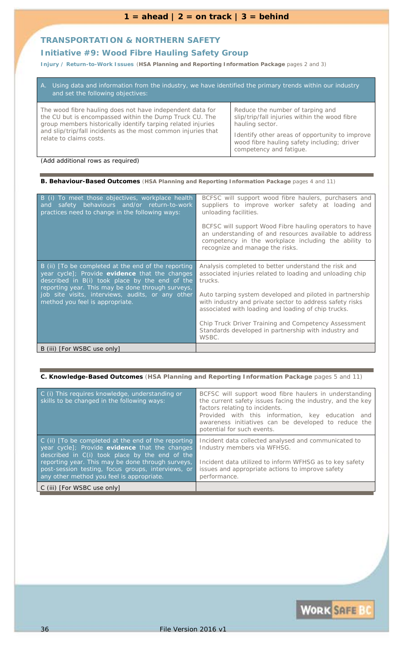### **TRANSPORTATION & NORTHERN SAFETY**

### **Initiative #9: Wood Fibre Hauling Safety Group**

**Injury / Return-to-Work Issues** (**HSA Planning and Reporting Information Package** pages 2 and 3)

| A. Using data and information from the industry, we have identified the primary trends within our industry<br>and set the following objectives:                                                                                                                                  |                                                                                                                                                                                                                                  |  |
|----------------------------------------------------------------------------------------------------------------------------------------------------------------------------------------------------------------------------------------------------------------------------------|----------------------------------------------------------------------------------------------------------------------------------------------------------------------------------------------------------------------------------|--|
| The wood fibre hauling does not have independent data for<br>the CU but is encompassed within the Dump Truck CU. The<br>group members historically identify tarping related injuries<br>and slip/trip/fall incidents as the most common injuries that<br>relate to claims costs. | Reduce the number of tarping and<br>slip/trip/fall injuries within the wood fibre<br>hauling sector.<br>Identify other areas of opportunity to improve<br>wood fibre hauling safety including; driver<br>competency and fatigue. |  |

*(Add additional rows as required)*

### **B. Behaviour-Based Outcomes** (**HSA Planning and Reporting Information Package** pages 4 and 11)

| B (i) To meet those objectives, workplace health<br>safety behaviours and/or return-to-work<br>and<br>practices need to change in the following ways:                                                                                                                                                | BCFSC will support wood fibre haulers, purchasers and<br>suppliers to improve worker safety at loading and<br>unloading facilities.<br>BCFSC will support Wood Fibre hauling operators to have<br>an understanding of and resources available to address<br>competency in the workplace including the ability to<br>recognize and manage the risks.                                                                                  |
|------------------------------------------------------------------------------------------------------------------------------------------------------------------------------------------------------------------------------------------------------------------------------------------------------|--------------------------------------------------------------------------------------------------------------------------------------------------------------------------------------------------------------------------------------------------------------------------------------------------------------------------------------------------------------------------------------------------------------------------------------|
| B (ii) [To be completed at the end of the reporting<br>year cycle]; Provide evidence that the changes<br>described in B(i) took place by the end of the<br>reporting year. This may be done through surveys,<br>job site visits, interviews, audits, or any other<br>method you feel is appropriate. | Analysis completed to better understand the risk and<br>associated injuries related to loading and unloading chip<br>trucks.<br>Auto tarping system developed and piloted in partnership<br>with industry and private sector to address safety risks<br>associated with loading and loading of chip trucks.<br>Chip Truck Driver Training and Competency Assessment<br>Standards developed in partnership with industry and<br>WSBC. |
| B (iii) [For WSBC use only]                                                                                                                                                                                                                                                                          |                                                                                                                                                                                                                                                                                                                                                                                                                                      |

### **C. Knowledge-Based Outcomes** (**HSA Planning and Reporting Information Package** pages 5 and 11)

| C (i) This requires knowledge, understanding or<br>skills to be changed in the following ways:                                                                                                                                                                                                                  | BCFSC will support wood fibre haulers in understanding<br>the current safety issues facing the industry, and the key<br>factors relating to incidents.<br>Provided with this information, key education<br>and<br>awareness initiatives can be developed to reduce the<br>potential for such events. |
|-----------------------------------------------------------------------------------------------------------------------------------------------------------------------------------------------------------------------------------------------------------------------------------------------------------------|------------------------------------------------------------------------------------------------------------------------------------------------------------------------------------------------------------------------------------------------------------------------------------------------------|
| C (ii) [To be completed at the end of the reporting<br>year cycle]; Provide evidence that the changes<br>described in C(i) took place by the end of the<br>reporting year. This may be done through surveys,<br>post-session testing, focus groups, interviews, or<br>any other method you feel is appropriate. | Incident data collected analysed and communicated to<br>Industry members via WFHSG.<br>Incident data utilized to inform WFHSG as to key safety<br>issues and appropriate actions to improve safety<br>performance.                                                                                   |
| C (iii) [ <i>For WSBC use only</i> ]                                                                                                                                                                                                                                                                            |                                                                                                                                                                                                                                                                                                      |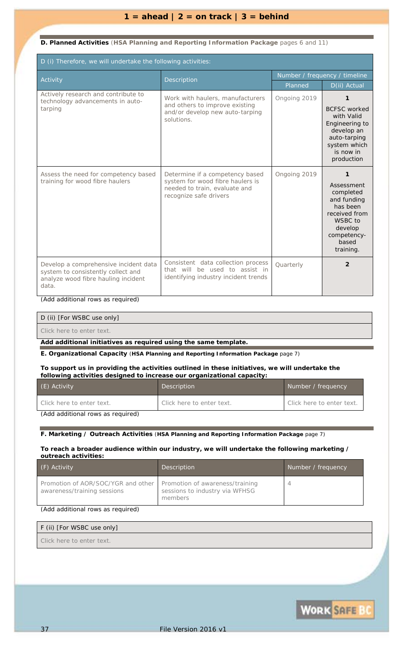### $1 = \text{ahead} \mid 2 = \text{on track} \mid 3 = \text{behind}$

### **D. Planned Activities** (**HSA Planning and Reporting Information Package** pages 6 and 11)

| D (i) Therefore, we will undertake the following activities:                                                                |                                                                                                                                |                               |                                                                                                                                                       |  |  |
|-----------------------------------------------------------------------------------------------------------------------------|--------------------------------------------------------------------------------------------------------------------------------|-------------------------------|-------------------------------------------------------------------------------------------------------------------------------------------------------|--|--|
| Activity                                                                                                                    | Description                                                                                                                    | Number / frequency / timeline |                                                                                                                                                       |  |  |
|                                                                                                                             |                                                                                                                                | Planned                       | D(ii) Actual                                                                                                                                          |  |  |
| Actively research and contribute to<br>technology advancements in auto-<br>tarping                                          | Work with haulers, manufacturers<br>and others to improve existing<br>and/or develop new auto-tarping<br>solutions.            | Ongoing 2019                  | 1<br><b>BCFSC</b> worked<br>with Valid<br>Engineering to<br>develop an<br>auto-tarping<br>system which<br>is now in<br>production                     |  |  |
| Assess the need for competency based<br>training for wood fibre haulers                                                     | Determine if a competency based<br>system for wood fibre haulers is<br>needed to train, evaluate and<br>recognize safe drivers | Ongoing 2019                  | $\mathbf{1}$<br>Assessment<br>completed<br>and funding<br>has been<br>received from<br><b>WSBC</b> to<br>develop<br>competency-<br>based<br>training. |  |  |
| Develop a comprehensive incident data<br>system to consistently collect and<br>analyze wood fibre hauling incident<br>data. | Consistent data collection process<br>that will be used to assist in<br>identifying industry incident trends                   | Quarterly                     | $\overline{2}$                                                                                                                                        |  |  |

*(Add additional rows as required)*

D (ii) [For WSBC use only]

*Click here to enter text.*

### *Add additional initiatives as required using the same template.*

**E. Organizational Capacity** (**HSA Planning and Reporting Information Package** page 7)

### **To support us in providing the activities outlined in these initiatives, we will undertake the following activities designed to increase our organizational capacity:**

| Description               | Number / frequency        |
|---------------------------|---------------------------|
| Click here to enter text. | Click here to enter text. |
|                           |                           |

*(Add additional rows as required)*

#### **F. Marketing / Outreach Activities** (**HSA Planning and Reporting Information Package** page 7)

### **To reach a broader audience within our industry, we will undertake the following marketing / outreach activities:**

| (F) Activity                                                                                        | Description                               | Number / frequency |
|-----------------------------------------------------------------------------------------------------|-------------------------------------------|--------------------|
| Promotion of AOR/SOC/YGR and other   Promotion of awareness/training<br>awareness/training sessions | sessions to industry via WFHSG<br>members |                    |

### *(Add additional rows as required)*

F (ii) [For WSBC use only] *Click here to enter text.*